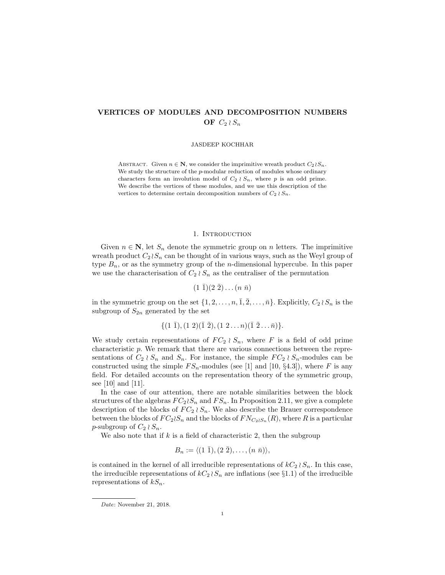# VERTICES OF MODULES AND DECOMPOSITION NUMBERS OF  $C_2 \wr S_n$

JASDEEP KOCHHAR

ABSTRACT. Given  $n \in \mathbb{N}$ , we consider the imprimitive wreath product  $C_2 \wr S_n$ . We study the structure of the p-modular reduction of modules whose ordinary characters form an involution model of  $C_2 \wr S_n$ , where p is an odd prime. We describe the vertices of these modules, and we use this description of the vertices to determine certain decomposition numbers of  $C_2 \wr S_n$ .

### 1. INTRODUCTION

Given  $n \in \mathbb{N}$ , let  $S_n$  denote the symmetric group on n letters. The imprimitive wreath product  $C_2 \wr S_n$  can be thought of in various ways, such as the Weyl group of type  $B_n$ , or as the symmetry group of the *n*-dimensional hypercube. In this paper we use the characterisation of  $C_2 \wr S_n$  as the centraliser of the permutation

$$
(1\ \overline{1})(2\ \overline{2})\dots(n\ \overline{n})
$$

in the symmetric group on the set  $\{1, 2, \ldots, n, \overline{1}, \overline{2}, \ldots, \overline{n}\}$ . Explicitly,  $C_2 \wr S_n$  is the subgroup of  $S_{2n}$  generated by the set

$$
\{(1\ \bar{1}), (1\ 2)(\bar{1}\ \bar{2}), (1\ 2 \ldots n)(\bar{1}\ \bar{2} \ldots \bar{n})\}.
$$

We study certain representations of  $FC_2 \wr S_n$ , where F is a field of odd prime characteristic p. We remark that there are various connections between the representations of  $C_2 \wr S_n$  and  $S_n$ . For instance, the simple  $FC_2 \wr S_n$ -modules can be constructed using the simple  $FS_n$ -modules (see [1] and [10, §4.3]), where F is any field. For detailed accounts on the representation theory of the symmetric group, see [10] and [11].

In the case of our attention, there are notable similarities between the block structures of the algebras  $FC_2 \wr S_n$  and  $FS_n$ . In Proposition 2.11, we give a complete description of the blocks of  $FC_2 \wr S_n$ . We also describe the Brauer correspondence between the blocks of  $FC_2 \wr S_n$  and the blocks of  $FN_{C_2 \wr S_n}(R)$ , where R is a particular p-subgroup of  $C_2 \wr S_n$ .

We also note that if  $k$  is a field of characteristic 2, then the subgroup

$$
B_n := \langle (1\ \overline{1}), (2\ \overline{2}), \ldots, (n\ \overline{n}) \rangle,
$$

is contained in the kernel of all irreducible representations of  $kC_2 \wr S_n$ . In this case, the irreducible representations of  $kC_2 \wr S_n$  are inflations (see §1.1) of the irreducible representations of  $kS_n$ .

Date: November 21, 2018.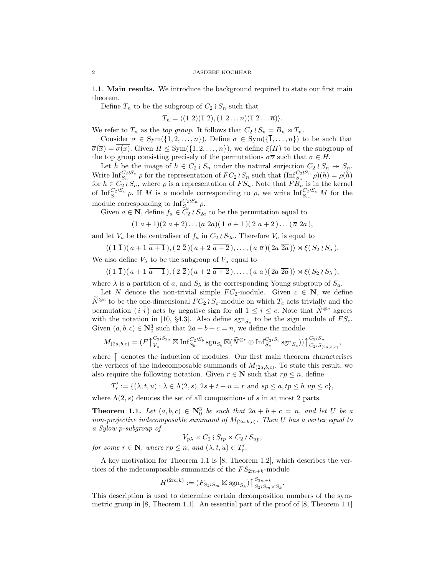1.1. Main results. We introduce the background required to state our first main theorem.

Define  $T_n$  to be the subgroup of  $C_2 \wr S_n$  such that

$$
T_n = \langle (1\ 2)(\overline{1}\ \overline{2}), (1\ 2 \ldots n)(\overline{1}\ \overline{2} \ldots \overline{n}) \rangle.
$$

We refer to  $T_n$  as the top group. It follows that  $C_2 \wr S_n = B_n \rtimes T_n$ .

Consider  $\sigma \in \text{Sym}(\{1, 2, ..., n\})$ . Define  $\overline{\sigma} \in \text{Sym}(\{\overline{1}, ..., \overline{n}\})$  to be such that  $\overline{\sigma}(\overline{x}) = \overline{\sigma(x)}$ . Given  $H \leq Sym({1, 2, ..., n})$ , we define  $\xi(H)$  to be the subgroup of the top group consisting precisely of the permutations  $\sigma\bar{\sigma}$  such that  $\sigma \in H$ .

Let  $\hat{h}$  be the image of  $h \in C_2 \wr S_n$  under the natural surjection  $C_2 \wr S_n \twoheadrightarrow S_n$ . Write  $\text{Inf}_{S_n}^{C_2 \wr S_n} \rho$  for the representation of  $FC_2 \wr S_n$  such that  $(\text{Inf}_{S_n}^{C_2 \wr S_n} \rho)(h) = \rho(h)$ for  $h \in C_2 \wr S_n$ , where  $\rho$  is a representation of  $FS_n$ . Note that  $FB_n$  is in the kernel of  $\text{Inf}_{S_n}^{C_2 \wr S_n}$   $\rho$ . If M is a module corresponding to  $\rho$ , we write  $\text{Inf}_{S_n}^{C_2 \wr S_n}$  M for the module corresponding to  $\text{Inf}_{S_n}^{C_2 \wr S_n}$   $\rho$ .

Given  $a \in \mathbf{N}$ , define  $f_a \in \widetilde{C}_2 \wr S_{2a}$  to be the permutation equal to

$$
(1\ a+1)(2\ a+2)\dots(a\ 2a)(\overline{1} \ \overline{a+1})(\overline{2} \ \overline{a+2})\dots(\overline{a} \ \overline{2a}),
$$

and let  $V_a$  be the centraliser of  $f_a$  in  $C_2 \wr S_{2a}$ . Therefore  $V_a$  is equal to

$$
\langle (1\,\overline{1})(a+1\,\overline{a+1}) , (2\,\overline{2})(a+2\,\overline{a+2}), \ldots, (a\,\overline{a})(2a\,\overline{2a}) \rangle \rtimes \xi(S_2\wr S_a).
$$

We also define  $V_{\lambda}$  to be the subgroup of  $V_a$  equal to

 $\langle (1\,\overline{1})\,a+1\,\overline{a+1}\,), (2\,\overline{2})\,a+2\,\overline{a+2}\,), \ldots, (a\,\overline{a})\,2a\,\overline{2a}\,)\rangle \rtimes \xi(S_2\wr S_\lambda),$ 

where  $\lambda$  is a partition of a, and  $S_{\lambda}$  is the corresponding Young subgroup of  $S_a$ .

Let N denote the non-trivial simple  $FC_2$ -module. Given  $c \in \mathbb{N}$ , we define  $\widetilde{N}^{\otimes c}$  to be the one-dimensional  $FC_2 \wr S_c$ -module on which  $T_c$  acts trivially and the permutation (i  $\bar{i}$ ) acts by negative sign for all  $1 \leq i \leq c$ . Note that  $N^{\otimes c}$  agrees with the notation in [10, §4.3]. Also define  $sgn_{S_c}$  to be the sign module of  $FS_c$ . Given  $(a, b, c) \in \mathbb{N}_0^3$  such that  $2a + b + c = n$ , we define the module

$$
M_{(2a,b,c)} = (F \uparrow_{V_a}^{C_2 \wr S_{2a}} \boxtimes \mathrm{Inf}_{S_b}^{C_2 \wr S_b} \mathrm{sgn}_{S_b} \boxtimes (\widetilde{N}^{\otimes c} \otimes \mathrm{Inf}_{S_c}^{C_2 \wr S_c} \mathrm{sgn}_{S_c})) \uparrow_{C_2 \wr S_{(2a,b,c)}}^{C_2 \wr S_n},
$$

where  $\uparrow$  denotes the induction of modules. Our first main theorem characterises the vertices of the indecomposable summands of  $M_{(2a,b,c)}$ . To state this result, we also require the following notation. Given  $r \in \mathbb{N}$  such that  $rp \leq n$ , define

$$
T'_r := \{ (\lambda, t, u) : \lambda \in \Lambda(2, s), 2s + t + u = r \text{ and } sp \le a, tp \le b, up \le c \},
$$

where  $\Lambda(2, s)$  denotes the set of all compositions of s in at most 2 parts.

**Theorem 1.1.** Let  $(a, b, c) \in \mathbb{N}_0^3$  be such that  $2a + b + c = n$ , and let U be a non-projective indecomposable summand of  $M_{(2a,b,c)}$ . Then U has a vertex equal to a Sylow p-subgroup of

$$
V_{p\lambda} \times C_2 \wr S_{tp} \times C_2 \wr S_{up},
$$

for some  $r \in \mathbb{N}$ , where  $rp \leq n$ , and  $(\lambda, t, u) \in T'_r$ .

A key motivation for Theorem 1.1 is [8, Theorem 1.2], which describes the vertices of the indecomposable summands of the  $FS_{2m+k}$ -module

$$
H^{(2m;k)} := (F_{S_2 \wr S_m} \boxtimes \text{sgn}_{S_k}) \uparrow_{S_2 \wr S_m \times S_k}^{S_{2m+k}}.
$$

This description is used to determine certain decomposition numbers of the symmetric group in  $[8,$  Theorem 1.1. An essential part of the proof of  $[8,$  Theorem 1.1.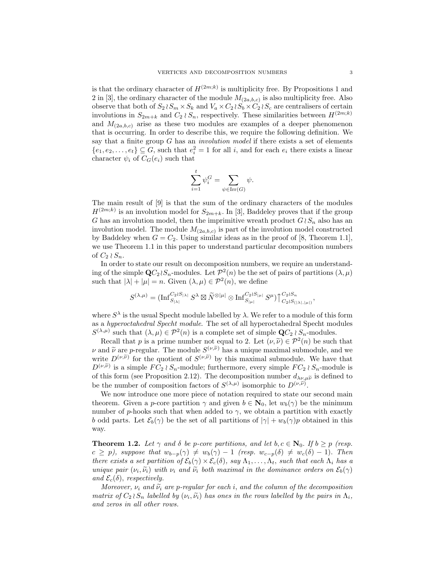is that the ordinary character of  $H^{(2m;k)}$  is multiplicity free. By Propositions 1 and 2 in [3], the ordinary character of the module  $M_{(2a,b,c)}$  is also multiplicity free. Also observe that both of  $S_2 \wr S_m \times S_k$  and  $V_a \times C_2 \wr S_b \times C_2 \wr S_c$  are centralisers of certain involutions in  $S_{2m+k}$  and  $C_2 \wr S_n$ , respectively. These similarities between  $H^{(2m;k)}$ and  $M_{(2a,b,c)}$  arise as these two modules are examples of a deeper phenomenon that is occurring. In order to describe this, we require the following definition. We say that a finite group  $G$  has an *involution model* if there exists a set of elements  $\{e_1, e_2, \ldots, e_t\} \subseteq G$ , such that  $e_i^2 = 1$  for all i, and for each  $e_i$  there exists a linear character  $\psi_i$  of  $C_G(e_i)$  such that

$$
\sum_{i=1}^t \psi_i^G = \sum_{\psi \in \operatorname{Irr}(G)} \psi.
$$

The main result of [9] is that the sum of the ordinary characters of the modules  $H^{(2m;k)}$  is an involution model for  $S_{2m+k}$ . In [3], Baddeley proves that if the group G has an involution model, then the imprimitive wreath product  $G \wr S_n$  also has an involution model. The module  $M_{(2a,b,c)}$  is part of the involution model constructed by Baddeley when  $G = C_2$ . Using similar ideas as in the proof of [8, Theorem 1.1], we use Theorem 1.1 in this paper to understand particular decomposition numbers of  $C_2 \wr S_n$ .

In order to state our result on decomposition numbers, we require an understanding of the simple  $\mathbf{Q}C_2 \wr S_n$ -modules. Let  $\mathcal{P}^2(n)$  be the set of pairs of partitions  $(\lambda, \mu)$ such that  $|\lambda| + |\mu| = n$ . Given  $(\lambda, \mu) \in \mathcal{P}^2(n)$ , we define

$$
S^{(\lambda,\mu)}=(\text{Inf}_{S_{|\lambda|}}^{C_2\wr S_{|\lambda|}}S^\lambda\boxtimes \widetilde{N}^{\otimes |\mu|}\otimes \text{Inf}_{S_{|\mu|}}^{C_2\wr S_{|\mu|}}S^\mu)\big\uparrow_{C_2\wr S_{(|\lambda|,|\mu|)}}^{C_2\wr S_n},
$$

where  $S^{\lambda}$  is the usual Specht module labelled by  $\lambda$ . We refer to a module of this form as a hyperoctahedral Specht module. The set of all hyperoctahedral Specht modules  $S^{(\lambda,\mu)}$  such that  $(\lambda,\mu) \in \mathcal{P}^2(n)$  is a complete set of simple  $\mathbf{Q}C_2 \wr S_n$ -modules.

Recall that p is a prime number not equal to 2. Let  $(\nu, \tilde{\nu}) \in \mathcal{P}^2(n)$  be such that  $\nu$  and  $\tilde{\nu}$  are *p*-regular. The module  $S^{(\nu,\tilde{\nu})}$  has a unique maximal submodule, and we<br>write  $D^{(\nu,\tilde{\nu})}$  for the quotient of  $S^{(\nu,\tilde{\nu})}$  by this maximal submodule. We have that write  $D^{(\nu,\tilde{\nu})}$  for the quotient of  $S^{(\nu,\tilde{\nu})}$  by this maximal submodule. We have that  $D^{(\nu,\tilde{\nu})}$  is a simple  $FC_2 \wr S_n$ -module; furthermore, every simple  $FC_2 \wr S_n$ -module is of this form (see Proposition 2.12). The decomposition number  $d_{\lambda\nu,\mu\tilde{\nu}}$  is defined to be the number of composition factors of  $S^{(\lambda,\mu)}$  isomorphic to  $D^{(\nu,\tilde{\nu})}$ .

We now introduce one more piece of notation required to state our second main theorem. Given a p-core partition  $\gamma$  and given  $b \in \mathbb{N}_0$ , let  $w_b(\gamma)$  be the minimum number of p-hooks such that when added to  $\gamma$ , we obtain a partition with exactly b odd parts. Let  $\mathcal{E}_b(\gamma)$  be the set of all partitions of  $|\gamma| + w_b(\gamma)p$  obtained in this way.

**Theorem 1.2.** Let  $\gamma$  and  $\delta$  be p-core partitions, and let  $b, c \in \mathbb{N}_0$ . If  $b \geq p$  (resp.  $c \geq p$ , suppose that  $w_{b-p}(\gamma) \neq w_b(\gamma) - 1$  (resp.  $w_{c-p}(\delta) \neq w_c(\delta) - 1$ ). Then there exists a set partition of  $\mathcal{E}_b(\gamma) \times \mathcal{E}_c(\delta)$ , say  $\Lambda_1, \ldots, \Lambda_t$ , such that each  $\Lambda_i$  has a unique pair  $(\nu_i, \tilde{\nu}_i)$  with  $\nu_i$  and  $\tilde{\nu}_i$  both maximal in the dominance orders on  $\mathcal{E}_b(\gamma)$ <br>and  $\mathcal{E}(\delta)$  respectively and  $\mathcal{E}_c(\delta)$ , respectively.

Moreover,  $\nu_i$  and  $\tilde{\nu}_i$  are p-regular for each i, and the column of the decomposition matrix of  $C_2 \wr S_n$  labelled by  $(\nu_i, \tilde{\nu}_i)$  has ones in the rows labelled by the pairs in  $\Lambda_i$ ,<br>and zeros in all other rows and zeros in all other rows.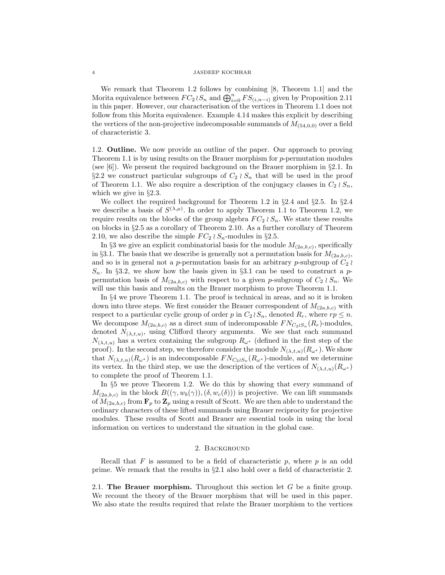We remark that Theorem 1.2 follows by combining [8, Theorem 1.1] and the Morita equivalence between  $FC_2 \wr S_n$  and  $\bigoplus_{i=0}^n FS_{(i,n-i)}$  given by Proposition 2.11 in this paper. However, our characterisation of the vertices in Theorem 1.1 does not follow from this Morita equivalence. Example 4.14 makes this explicit by describing the vertices of the non-projective indecomposable summands of  $M_{(54,0,0)}$  over a field of characteristic 3.

1.2. Outline. We now provide an outline of the paper. Our approach to proving Theorem 1.1 is by using results on the Brauer morphism for  $p$ -permutation modules (see  $[6]$ ). We present the required background on the Brauer morphism in §2.1. In §2.2 we construct particular subgroups of  $C_2 \wr S_n$  that will be used in the proof of Theorem 1.1. We also require a description of the conjugacy classes in  $C_2 \wr S_n$ , which we give in §2.3.

We collect the required background for Theorem 1.2 in  $\S 2.4$  and  $\S 2.5$ . In  $\S 2.4$ we describe a basis of  $S^{(\lambda,\mu)}$ . In order to apply Theorem 1.1 to Theorem 1.2, we require results on the blocks of the group algebra  $FC_2 \wr S_n$ . We state these results on blocks in §2.5 as a corollary of Theorem 2.10. As a further corollary of Theorem 2.10, we also describe the simple  $FC_2 \wr S_n$ -modules in §2.5.

In §3 we give an explicit combinatorial basis for the module  $M_{(2a,b,c)}$ , specifically in §3.1. The basis that we describe is generally not a permutation basis for  $M_{(2a,b,c)}$ , and so is in general not a p-permutation basis for an arbitrary p-subgroup of  $C_2 \wr$  $S_n$ . In §3.2, we show how the basis given in §3.1 can be used to construct a ppermutation basis of  $M_{(2a,b,c)}$  with respect to a given p-subgroup of  $C_2 \wr S_n$ . We will use this basis and results on the Brauer morphism to prove Theorem 1.1.

In §4 we prove Theorem 1.1. The proof is technical in areas, and so it is broken down into three steps. We first consider the Brauer correspondent of  $M_{(2a,b,c)}$  with respect to a particular cyclic group of order p in  $C_2 \wr S_n$ , denoted  $R_r$ , where  $rp \leq n$ . We decompose  $M_{(2a,b,c)}$  as a direct sum of indecomposable  $FN_{C_2 \wr S_n}(R_r)$ -modules, denoted  $N_{(\lambda,t,u)}$ , using Clifford theory arguments. We see that each summand  $N_{(\lambda,t,u)}$  has a vertex containing the subgroup  $R_{\omega^*}$  (defined in the first step of the proof). In the second step, we therefore consider the module  $N_{(\lambda,t,u)}(R_{\omega^*})$ . We show that  $N_{(\lambda,t,u)}(R_{\omega^*})$  is an indecomposable  $FN_{C_2 \wr S_n}(R_{\omega^*})$ -module, and we determine its vertex. In the third step, we use the description of the vertices of  $N_{(\lambda,t,u)}(R_{\omega^*})$ to complete the proof of Theorem 1.1.

In §5 we prove Theorem 1.2. We do this by showing that every summand of  $M_{(2a,b,c)}$  in the block  $B((\gamma,w_b(\gamma)),(\delta,w_c(\delta)))$  is projective. We can lift summands of  $M_{(2a,b,c)}$  from  $\mathbf{F}_p$  to  $\mathbf{Z}_p$  using a result of Scott. We are then able to understand the ordinary characters of these lifted summands using Brauer reciprocity for projective modules. These results of Scott and Brauer are essential tools in using the local information on vertices to understand the situation in the global case.

## 2. Background

Recall that F is assumed to be a field of characteristic p, where p is an odd prime. We remark that the results in §2.1 also hold over a field of characteristic 2.

2.1. The Brauer morphism. Throughout this section let  $G$  be a finite group. We recount the theory of the Brauer morphism that will be used in this paper. We also state the results required that relate the Brauer morphism to the vertices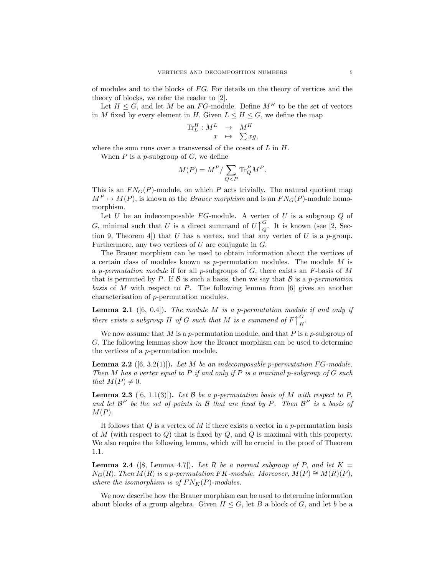of modules and to the blocks of  $FG$ . For details on the theory of vertices and the theory of blocks, we refer the reader to [2].

Let  $H \leq G$ , and let M be an FG-module. Define  $M^H$  to be the set of vectors in M fixed by every element in H. Given  $L \leq H \leq G$ , we define the map

$$
\mathrm{Tr}^H_L: M^L \quad \rightarrow \quad M^H \quad \nonumber \\ x \quad \mapsto \quad \sum xg,
$$

where the sum runs over a transversal of the cosets of  $L$  in  $H$ .

When  $P$  is a p-subgroup of  $G$ , we define

$$
M(P) = M^P / \sum_{Q
$$

This is an  $FN_G(P)$ -module, on which P acts trivially. The natural quotient map  $M^P \mapsto M(P)$ , is known as the *Brauer morphism* and is an  $FN_G(P)$ -module homomorphism.

Let  $U$  be an indecomposable  $FG$ -module. A vertex of  $U$  is a subgroup  $Q$  of G, minimal such that U is a direct summand of  $U$ <sup> $\uparrow$ </sup> G  $Q<sub>Q</sub>$ . It is known (see [2, Section 9, Theorem 4. If that U has a vertex, and that any vertex of U is a p-group. Furthermore, any two vertices of  $U$  are conjugate in  $G$ .

The Brauer morphism can be used to obtain information about the vertices of a certain class of modules known as  $p$ -permutation modules. The module  $M$  is a p-permutation module if for all p-subgroups of  $G$ , there exists an F-basis of M that is permuted by P. If  $\beta$  is such a basis, then we say that  $\beta$  is a p-permutation basis of M with respect to P. The following lemma from  $[6]$  gives an another characterisation of p-permutation modules.

**Lemma 2.1** ([6, 0.4]). The module  $M$  is a p-permutation module if and only if there exists a subgroup H of G such that M is a summand of  $F \uparrow$ G  $H^{\bullet}$ 

We now assume that M is a p-permutation module, and that P is a p-subgroup of G. The following lemmas show how the Brauer morphism can be used to determine the vertices of a p-permutation module.

**Lemma 2.2** ([6, 3.2(1)]). Let M be an indecomposable p-permutation FG-module. Then M has a vertex equal to P if and only if P is a maximal p-subgroup of  $G$  such that  $M(P) \neq 0$ .

**Lemma 2.3** ([6, 1.1(3)]). Let  $\beta$  be a p-permutation basis of  $M$  with respect to  $P$ , and let  $\mathcal{B}^P$  be the set of points in  $\mathcal B$  that are fixed by P. Then  $\mathcal{B}^P$  is a basis of  $M(P)$ .

It follows that  $Q$  is a vertex of  $M$  if there exists a vector in a p-permutation basis of M (with respect to  $Q$ ) that is fixed by  $Q$ , and  $Q$  is maximal with this property. We also require the following lemma, which will be crucial in the proof of Theorem 1.1.

**Lemma 2.4** ([8, Lemma 4.7]). Let R be a normal subgroup of P, and let  $K =$  $N_G(R)$ . Then  $M(R)$  is a p-permutation FK-module. Moreover,  $M(P) \cong M(R)(P)$ , where the isomorphism is of  $FN_K(P)$ -modules.

We now describe how the Brauer morphism can be used to determine information about blocks of a group algebra. Given  $H \leq G$ , let B a block of G, and let b be a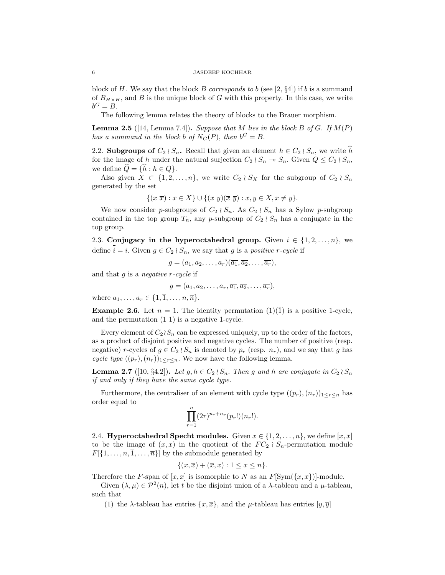block of H. We say that the block B corresponds to b (see [2,  $\S4$ ]) if b is a summand of  $B_{H\times H}$ , and B is the unique block of G with this property. In this case, we write  $b^G = B.$ 

The following lemma relates the theory of blocks to the Brauer morphism.

**Lemma 2.5** ([14, Lemma 7.4]). Suppose that M lies in the block B of G. If  $M(P)$ has a summand in the block b of  $N_G(P)$ , then  $b^G = B$ .

2.2. Subgroups of  $C_2 \wr S_n$ . Recall that given an element  $h \in C_2 \wr S_n$ , we write h for the image of h under the natural surjection  $C_2 \wr S_n \to S_n$ . Given  $Q \leq C_2 \wr S_n$ , we define  $Q = \{h : h \in Q\}.$ 

Also given  $X \subset \{1, 2, ..., n\}$ , we write  $C_2 \wr S_X$  for the subgroup of  $C_2 \wr S_n$ generated by the set

$$
\{(x\ \overline{x}) : x \in X\} \cup \{(x\ y)(\overline{x}\ \overline{y}) : x, y \in X, x \neq y\}.
$$

We now consider p-subgroups of  $C_2 \wr S_n$ . As  $C_2 \wr S_n$  has a Sylow p-subgroup contained in the top group  $T_n$ , any p-subgroup of  $C_2 \wr S_n$  has a conjugate in the top group.

2.3. Conjugacy in the hyperoctahedral group. Given  $i \in \{1, 2, ..., n\}$ , we define  $\overline{\overline{i}} = i$ . Given  $g \in C_2 \wr S_n$ , we say that g is a positive r-cycle if

$$
g=(a_1,a_2,\ldots,a_r)(\overline{a_1},\overline{a_2},\ldots,\overline{a_r}),
$$

and that  $g$  is a negative  $r$ -cycle if

$$
g=(a_1,a_2,\ldots,a_r,\overline{a_1},\overline{a_2},\ldots,\overline{a_r}),
$$

where  $a_1, ..., a_r \in \{1, \overline{1}, ..., n, \overline{n}\}.$ 

**Example 2.6.** Let  $n = 1$ . The identity permutation  $(1)(\overline{1})$  is a positive 1-cycle, and the permutation  $(1\bar{1})$  is a negative 1-cycle.

Every element of  $C_2 \wr S_n$  can be expressed uniquely, up to the order of the factors, as a product of disjoint positive and negative cycles. The number of positive (resp. negative) r-cycles of  $g \in C_2 \wr S_n$  is denoted by  $p_r$  (resp.  $n_r$ ), and we say that g has cycle type  $((p_r),(n_r))_{1\leq r\leq n}$ . We now have the following lemma.

**Lemma 2.7** ([10, §4.2]). Let  $g, h \in C_2 \wr S_n$ . Then g and h are conjugate in  $C_2 \wr S_n$ if and only if they have the same cycle type.

Furthermore, the centraliser of an element with cycle type  $((p_r),(n_r))_{1\leq r\leq n}$  has order equal to

$$
\prod_{r=1}^{n} (2r)^{p_r+n_r}(p_r!)(n_r!).
$$

2.4. Hyperoctahedral Specht modules. Given  $x \in \{1, 2, ..., n\}$ , we define  $[x, \overline{x}]$ to be the image of  $(x,\overline{x})$  in the quotient of the  $FC_2 \wr S_n$ -permutation module  $F[\{1,\ldots,n,\overline{1},\ldots,\overline{n}\}]$  by the submodule generated by

$$
\{(x,\overline{x}) + (\overline{x},x) : 1 \le x \le n\}.
$$

Therefore the F-span of  $[x, \overline{x}]$  is isomorphic to N as an  $F[\text{Sym}(\{x, \overline{x}\})]$ -module.

Given  $(\lambda, \mu) \in \mathcal{P}^2(n)$ , let t be the disjoint union of a  $\lambda$ -tableau and a  $\mu$ -tableau, such that

(1) the  $\lambda$ -tableau has entries  $\{x,\overline{x}\}\text{, and the }\mu$ -tableau has entries  $[y,\overline{y}]$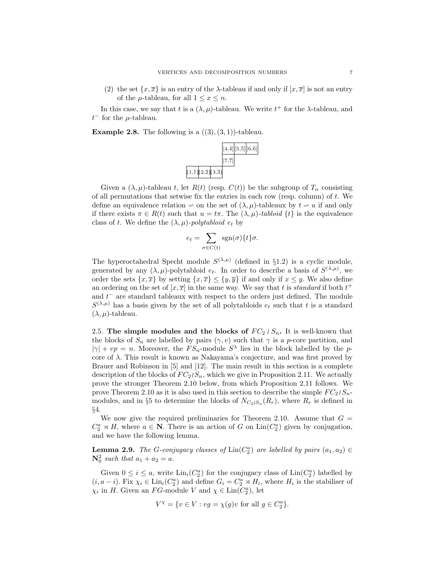(2) the set  $\{x,\overline{x}\}\$ is an entry of the  $\lambda$ -tableau if and only if  $[x,\overline{x}]$  is not an entry of the  $\mu$ -tableau, for all  $1 \leq x \leq n$ .

In this case, we say that t is a  $(\lambda, \mu)$ -tableau. We write  $t^+$  for the  $\lambda$ -tableau, and  $t^-$  for the  $\mu$ -tableau.

**Example 2.8.** The following is a  $((3), (3, 1))$ -tableau.



Given a  $(\lambda, \mu)$ -tableau t, let  $R(t)$  (resp.  $C(t)$ ) be the subgroup of  $T_n$  consisting of all permutations that setwise fix the entries in each row (resp. column) of  $t$ . We define an equivalence relation  $\sim$  on the set of  $(\lambda, \mu)$ -tableaux by  $t \sim u$  if and only if there exists  $\pi \in R(t)$  such that  $u = t\pi$ . The  $(\lambda, \mu)$ -tabloid  $\{t\}$  is the equivalence class of t. We define the  $(\lambda, \mu)$ -polytabloid  $e_t$  by

$$
e_t = \sum_{\sigma \in C(t)} \text{sgn}(\sigma) \{t\} \sigma.
$$

The hyperoctahedral Specht module  $S^{(\lambda,\mu)}$  (defined in §1.2) is a cyclic module, generated by any  $(\lambda, \mu)$ -polytabloid  $e_t$ . In order to describe a basis of  $S^{(\lambda,\mu)}$ , we order the sets  $\{x,\overline{x}\}\$ by setting  $\{x,\overline{x}\}\leq \{y,\overline{y}\}\$ if and only if  $x\leq y$ . We also define an ordering on the set of  $[x, \overline{x}]$  in the same way. We say that t is *standard* if both  $t^+$ and  $t<sup>-</sup>$  are standard tableaux with respect to the orders just defined. The module  $S^{(\lambda,\mu)}$  has a basis given by the set of all polytabloids  $e_t$  such that t is a standard  $(\lambda, \mu)$ -tableau.

2.5. The simple modules and the blocks of  $FC_2 \wr S_n$ . It is well-known that the blocks of  $S_n$  are labelled by pairs  $(\gamma, v)$  such that  $\gamma$  is a p-core partition, and  $|\gamma| + vp = n$ . Moreover, the  $FS_n$ -module  $S^{\lambda}$  lies in the block labelled by the pcore of  $\lambda$ . This result is known as Nakayama's conjecture, and was first proved by Brauer and Robinson in [5] and [12]. The main result in this section is a complete description of the blocks of  $FC_2 \wr S_n$ , which we give in Proposition 2.11. We actually prove the stronger Theorem 2.10 below, from which Proposition 2.11 follows. We prove Theorem 2.10 as it is also used in this section to describe the simple  $FC_2 \wr S_n$ modules, and in §5 to determine the blocks of  $N_{C_2 \wr S_n}(R_r)$ , where  $R_r$  is defined in §4.

We now give the required preliminaries for Theorem 2.10. Assume that  $G =$  $C_2^a \rtimes H$ , where  $a \in \mathbb{N}$ . There is an action of G on Lin( $C_2^a$ ) given by conjugation, and we have the following lemma.

**Lemma 2.9.** The G-conjugacy classes of  $\text{Lin}(C_2^a)$  are labelled by pairs  $(a_1, a_2) \in$  $N_0^2$  such that  $a_1 + a_2 = a$ .

Given  $0 \leq i \leq a$ , write  $\text{Lin}_i(C_2^a)$  for the conjugacy class of  $\text{Lin}(C_2^a)$  labelled by  $(i, a - i)$ . Fix  $\chi_i \in \text{Lin}_i(C_2^a)$  and define  $G_i = C_2^a \rtimes H_i$ , where  $H_i$  is the stabiliser of  $\chi_i$  in H. Given an FG-module V and  $\chi \in \text{Lin}(C_2^a)$ , let

$$
V^{\chi} = \{ v \in V : vg = \chi(g)v \text{ for all } g \in C_2^a \}.
$$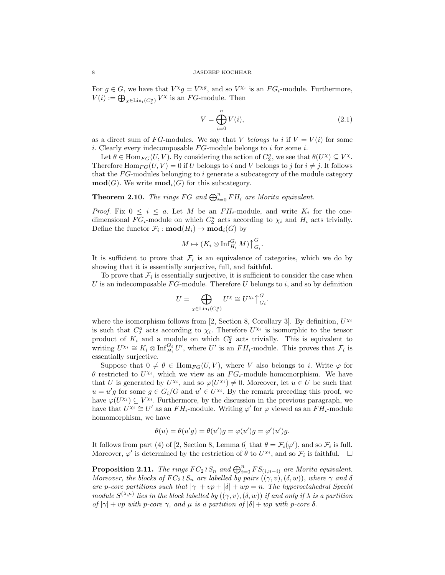For  $g \in G$ , we have that  $V^{\chi}g = V^{\chi g}$ , and so  $V^{\chi_i}$  is an  $FG_i$ -module. Furthermore,  $V(i) := \bigoplus_{\chi \in \text{Lin}_i(C_2^a)} V^{\chi}$  is an FG-module. Then

$$
V = \bigoplus_{i=0}^{n} V(i),\tag{2.1}
$$

as a direct sum of FG-modules. We say that V belongs to i if  $V = V(i)$  for some i. Clearly every indecomposable  $FG$ -module belongs to i for some i.

Let  $\theta \in \text{Hom}_{FG}(U, V)$ . By considering the action of  $C_2^a$ , we see that  $\theta(U^{\chi}) \subseteq V^{\chi}$ . Therefore  $\text{Hom}_{FG}(U, V) = 0$  if U belongs to i and V belongs to j for  $i \neq j$ . It follows that the  $FG$ -modules belonging to i generate a subcategory of the module category  $\mathbf{mod}(G)$ . We write  $\mathbf{mod}_i(G)$  for this subcategory.

**Theorem 2.10.** The rings FG and  $\bigoplus_{i=0}^{n} FH_i$  are Morita equivalent.

*Proof.* Fix  $0 \leq i \leq a$ . Let M be an  $FH_i$ -module, and write  $K_i$  for the onedimensional  $FG_i$ -module on which  $C_2^a$  acts according to  $\chi_i$  and  $H_i$  acts trivially. Define the functor  $\mathcal{F}_i$ :  $\textbf{mod}(H_i) \to \textbf{mod}_i(G)$  by

$$
M \mapsto (K_i \otimes \operatorname{Inf}_{H_i}^{G_i} M) \biguparrow^G_{G_i}.
$$

It is sufficient to prove that  $\mathcal{F}_i$  is an equivalence of categories, which we do by showing that it is essentially surjective, full, and faithful.

To prove that  $\mathcal{F}_i$  is essentially surjective, it is sufficient to consider the case when U is an indecomposable  $FG$ -module. Therefore U belongs to i, and so by definition

$$
U = \bigoplus_{\chi \in \text{Lin}_i(C_2^{\alpha})} U^{\chi} \cong U^{\chi_i} \bigcap_{G_i}^{G}.
$$

where the isomorphism follows from [2, Section 8, Corollary 3]. By definition,  $U^{\chi_i}$ is such that  $C_2^a$  acts according to  $\chi_i$ . Therefore  $U^{\chi_i}$  is isomorphic to the tensor product of  $K_i$  and a module on which  $C_2^a$  acts trivially. This is equivalent to writing  $U^{\chi_i} \cong K_i \otimes \text{Inf}_{H_i}^{G_i} U'$ , where U' is an  $FH_i$ -module. This proves that  $\mathcal{F}_i$  is essentially surjective.

Suppose that  $0 \neq \theta \in \text{Hom}_{FG}(U, V)$ , where V also belongs to i. Write  $\varphi$  for  $\theta$  restricted to  $U^{\chi_i}$ , which we view as an  $FG_i$ -module homomorphism. We have that U is generated by  $U^{\chi_i}$ , and so  $\varphi(U^{\chi_i}) \neq 0$ . Moreover, let  $u \in U$  be such that  $u = u'g$  for some  $g \in G_i/G$  and  $u' \in U^{\chi_i}$ . By the remark preceding this proof, we have  $\varphi(U^{\chi_i}) \subseteq V^{\chi_i}$ . Furthermore, by the discussion in the previous paragraph, we have that  $U^{\chi_i} \cong U'$  as an  $FH_i$ -module. Writing  $\varphi'$  for  $\varphi$  viewed as an  $FH_i$ -module homomorphism, we have

$$
\theta(u) = \theta(u'g) = \theta(u')g = \varphi(u')g = \varphi'(u')g.
$$

It follows from part (4) of [2, Section 8, Lemma 6] that  $\theta = \mathcal{F}_i(\varphi')$ , and so  $\mathcal{F}_i$  is full. Moreover,  $\varphi'$  is determined by the restriction of  $\theta$  to  $U^{\chi_i}$ , and so  $\mathcal{F}_i$  is faithful.  $\Box$ 

**Proposition 2.11.** The rings  $FC_2 \wr S_n$  and  $\bigoplus_{i=0}^n FS_{(i,n-i)}$  are Morita equivalent. Moreover, the blocks of  $FC_2 \wr S_n$  are labelled by pairs  $((\gamma, v), (\delta, w))$ , where  $\gamma$  and  $\delta$ are p-core partitions such that  $|\gamma| + vp + |\delta| + wp = n$ . The hyperoctahedral Specht module  $S^{(\lambda,\mu)}$  lies in the block labelled by  $((\gamma, v), (\delta, w))$  if and only if  $\lambda$  is a partition of  $|\gamma| + vp$  with p-core  $\gamma$ , and  $\mu$  is a partition of  $|\delta| + wp$  with p-core  $\delta$ .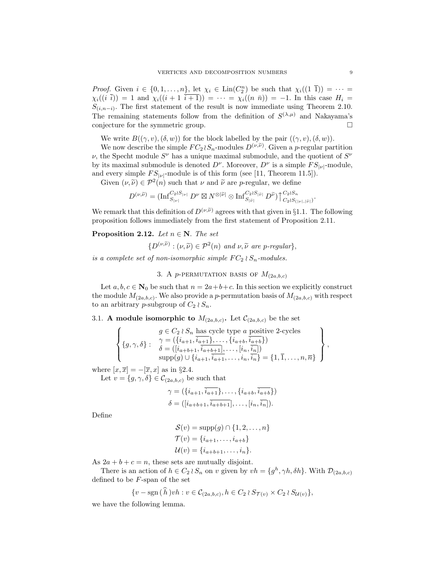*Proof.* Given  $i \in \{0, 1, ..., n\}$ , let  $\chi_i \in \text{Lin}(C_2^n)$  be such that  $\chi_i((1\bar{1})) = \cdots =$  $\chi_i((i \bar{i})) = 1$  and  $\chi_i((i + 1 \bar{i} + 1)) = \cdots = \chi_i((n \bar{n})) = -1$ . In this case  $H_i =$  $S_{(i,n-i)}$ . The first statement of the result is now immediate using Theorem 2.10. The remaining statements follow from the definition of  $S^{(\lambda,\mu)}$  and Nakayama's conjecture for the symmetric group.  $\square$ 

We write  $B((\gamma, v), (\delta, w))$  for the block labelled by the pair  $((\gamma, v), (\delta, w))$ .

We now describe the simple  $FC_2 \wr S_n$ -modules  $D^{(\nu,\tilde{\nu})}$ . Given a p-regular partition  $\nu$ , the Specht module  $S^{\nu}$  has a unique maximal submodule, and the quotient of  $S^{\nu}$ by its maximal submodule is denoted  $D^{\nu}$ . Moreover,  $D^{\nu}$  is a simple  $FS_{|\nu|}$ -module, and every simple  $FS_{|\nu|}$ -module is of this form (see [11, Theorem 11.5]).

Given  $(\nu, \tilde{\nu}) \in \mathcal{P}^2(n)$  such that  $\nu$  and  $\tilde{\nu}$  are p-regular, we define

$$
D^{(\nu, \widetilde{\nu})} = (\operatorname{Inf}^{C_2 \wr S_{|\nu|}}_{S_{|\nu|}} D^{\nu} \boxtimes N^{\otimes |\widetilde{\nu}|} \otimes \operatorname{Inf}^{C_2 \wr S_{|\widetilde{\nu}|}}_{S_{|\widetilde{\nu}|}} D^{\widetilde{\nu}}) \big\uparrow^{C_2 \wr S_n}_{C_2 \wr S_{(|\nu|, |\widetilde{\nu}|})}
$$

We remark that this definition of  $D^{(\nu,\tilde{\nu})}$  agrees with that given in §1.1. The following proposition follows immediately from the first statement of Proposition 2.11.

## **Proposition 2.12.** Let  $n \in \mathbb{N}$ . The set

$$
\{D^{(\nu,\widetilde{\nu})} : (\nu,\widetilde{\nu}) \in \mathcal{P}^2(n) \text{ and } \nu,\widetilde{\nu} \text{ are } p\text{-regular}\},\
$$

is a complete set of non-isomorphic simple  $FC_2 \wr S_n$ -modules.

3. A p-PERMUTATION BASIS OF  $M_{(2a,b,c)}$ 

Let  $a, b, c \in \mathbb{N}_0$  be such that  $n = 2a+b+c$ . In this section we explicitly construct the module  $M_{(2a,b,c)}$ . We also provide a p-permutation basis of  $M_{(2a,b,c)}$  with respect to an arbitrary p-subgroup of  $C_2 \wr S_n$ .

3.1. A module isomorphic to  $M_{(2a,b,c)}$ . Let  $\mathcal{C}_{(2a,b,c)}$  be the set

$$
\left\{\{g,\gamma,\delta\}: \begin{array}{l}\ng \in C_2 \wr S_n \text{ has cycle type } a \text{ positive 2-cycles} \\
\gamma = (\{i_{a+1}, \overline{i_{a+1}}\}, \ldots, \{i_{a+b}, \overline{i_{a+b}}\}) \\
\delta = ([i_{a+b+1}, \overline{i_{a+b+1}}], \ldots, [i_n, \overline{i_n}]) \\
\text{supp}(g) \cup \{i_{a+1}, \overline{i_{a+1}}, \ldots, i_n, \overline{i_n}\} = \{1, \overline{1}, \ldots, n, \overline{n}\}\n\end{array}\right\},
$$

where  $[x,\overline{x}] = -[\overline{x},x]$  as in §2.4.

Let  $v = \{g, \gamma, \delta\} \in C_{(2a,b,c)}$  be such that

$$
\gamma = (\{i_{a+1}, \overline{i_{a+1}}\}, \dots, \{i_{a+b}, \overline{i_{a+b}}\})
$$
  

$$
\delta = ([i_{a+b+1}, \overline{i_{a+b+1}}], \dots, [i_n, \overline{i_n}]).
$$

Define

$$
\mathcal{S}(v) = \text{supp}(g) \cap \{1, 2, ..., n\}
$$

$$
\mathcal{T}(v) = \{i_{a+1}, ..., i_{a+b}\}
$$

$$
\mathcal{U}(v) = \{i_{a+b+1}, ..., i_n\}.
$$

As  $2a + b + c = n$ , these sets are mutually disjoint.

There is an action of  $h \in C_2 \wr S_n$  on v given by  $vh = \{g^h, \gamma h, \delta h\}$ . With  $\mathcal{D}_{(2a,b,c)}$ defined to be F-span of the set

$$
\{v - \operatorname{sgn}(\tilde{h})vh : v \in \mathcal{C}_{(2a,b,c)}, h \in C_2 \wr S_{\mathcal{T}(v)} \times C_2 \wr S_{\mathcal{U}(v)}\},\
$$

we have the following lemma.

.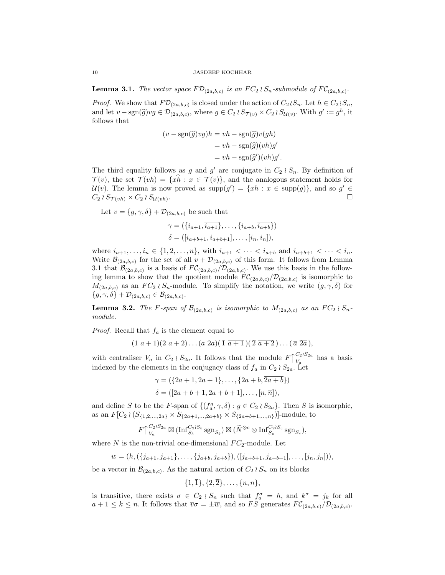**Lemma 3.1.** The vector space  $F\mathcal{D}_{(2a,b,c)}$  is an  $FC_2 \wr S_n$ -submodule of  $FC_{(2a,b,c)}$ .

*Proof.* We show that  $F\mathcal{D}_{(2a,b,c)}$  is closed under the action of  $C_2 \wr S_n$ . Let  $h \in C_2 \wr S_n$ , and let  $v - \text{sgn}(\hat{g})vg \in \mathcal{D}_{(2a,b,c)}$ , where  $g \in C_2 \wr S_{\mathcal{T}(v)} \times C_2 \wr S_{\mathcal{U}(v)}$ . With  $g' := g^h$ , it follows that follows that

$$
(v - \text{sgn}(\hat{g})vg)h = vh - \text{sgn}(\hat{g})v(gh)
$$

$$
= vh - \text{sgn}(\hat{g})(vh)g'
$$

$$
= vh - \text{sgn}(\hat{g}')(vh)g'.
$$

The third equality follows as g and g' are conjugate in  $C_2 \wr S_n$ . By definition of  $\mathcal{T}(v)$ , the set  $\mathcal{T}(vh) = \{x\hat{h} : x \in \mathcal{T}(v)\}\)$ , and the analogous statement holds for  $\mathcal{U}(v)$ . The lemma is now proved as supp $(g') = \{xh : x \in \text{supp}(g)\}\$ , and so  $g' \in$  $C_2 \wr S_{\mathcal{T}(vh)} \times C_2 \wr S_{\mathcal{U}(vh)}.$ .

Let  $v = \{g, \gamma, \delta\} + \mathcal{D}_{(2a, b, c)}$  be such that

$$
\gamma = (\{i_{a+1}, \overline{i_{a+1}}\}, \dots, \{i_{a+b}, \overline{i_{a+b}}\})
$$

$$
\delta = ([i_{a+b+1}, \overline{i_{a+b+1}}], \dots, [i_n, \overline{i_n}]),
$$

where  $i_{a+1},...,i_n \in \{1,2,...,n\}$ , with  $i_{a+1} < \cdots < i_{a+b}$  and  $i_{a+b+1} < \cdots < i_n$ . Write  $\mathcal{B}_{(2a,b,c)}$  for the set of all  $v + \mathcal{D}_{(2a,b,c)}$  of this form. It follows from Lemma 3.1 that  $\mathcal{B}_{(2a,b,c)}$  is a basis of  $FC_{(2a,b,c)}/\mathcal{D}_{(2a,b,c)}$ . We use this basis in the following lemma to show that the quotient module  $FC_{(2a,b,c)}/\mathcal{D}_{(2a,b,c)}$  is isomorphic to  $M_{(2a,b,c)}$  as an  $FC_2 \wr S_n$ -module. To simplify the notation, we write  $(g, \gamma, \delta)$  for  $\{g, \gamma, \delta\} + \mathcal{D}_{(2a,b,c)} \in \mathcal{B}_{(2a,b,c)}.$ 

**Lemma 3.2.** The F-span of  $\mathcal{B}_{(2a,b,c)}$  is isomorphic to  $M_{(2a,b,c)}$  as an  $FC_2 \wr S_n$ module.

*Proof.* Recall that  $f_a$  is the element equal to

$$
(1\ a+1)(2\ a+2)\ldots(a\ 2a)(\overline{1} \ \overline{a+1})(\overline{2} \ \overline{a+2})\ldots(\overline{a} \ \overline{2a}),
$$

with centraliser  $V_a$  in  $C_2 \wr S_{2a}$ . It follows that the module  $F \uparrow$  $C_2 \wr S_{2a}$  $V_a$ <sup>O<sub>2</sub>(O<sub>2a</sub>)</sup> has a basis indexed by the elements in the conjugacy class of  $f_a$  in  $C_2 \wr S_{2a}$ . Let

$$
\gamma = (\{2a+1, \overline{2a+1}\}, \dots, \{2a+b, \overline{2a+b}\})
$$
  

$$
\delta = ([2a+b+1, \overline{2a+b+1}], \dots, [n, \overline{n}]),
$$

and define S to be the F-span of  $\{(f_a^g, \gamma, \delta) : g \in C_2 \wr S_{2a}\}.$  Then S is isomorphic, as an  $F[C_2 \wr (S_{\{1,2,\ldots,2a\}} \times S_{\{2a+1,\ldots,2a+b\}} \times S_{\{2a+b+1,\ldots,n\}})]$ -module, to

$$
F \bigupharpoonright_{V_a}^{C_2 \wr S_{2a}} \boxtimes (\operatorname{Inf}_{S_b}^{C_2 \wr S_b} \operatorname{sgn}_{S_b}) \boxtimes (\widetilde{N}^{\otimes c} \otimes \operatorname{Inf}_{S_c}^{C_2 \wr S_c} \operatorname{sgn}_{S_c}),
$$

where  $N$  is the non-trivial one-dimensional  $FC_2$ -module. Let

$$
w = (h, (\{j_{a+1}, \overline{j_{a+1}}\}, \ldots, \{j_{a+b}, \overline{j_{a+b}}\}), ([j_{a+b+1}, \overline{j_{a+b+1}}], \ldots, [j_n, \overline{j_n}]))
$$

be a vector in  $\mathcal{B}_{(2a,b,c)}$ . As the natural action of  $C_2 \wr S_n$  on its blocks

$$
\{1,\overline{1}\},\{2,\overline{2}\},\ldots,\{n,\overline{n}\},
$$

is transitive, there exists  $\sigma \in C_2 \wr S_n$  such that  $f_a^{\sigma} = h$ , and  $k^{\sigma} = j_k$  for all  $a+1 \leq k \leq n$ . It follows that  $\overline{v}\sigma = \pm \overline{w}$ , and so FS generates  $FC_{(2a,b,c)}/\mathcal{D}_{(2a,b,c)}$ .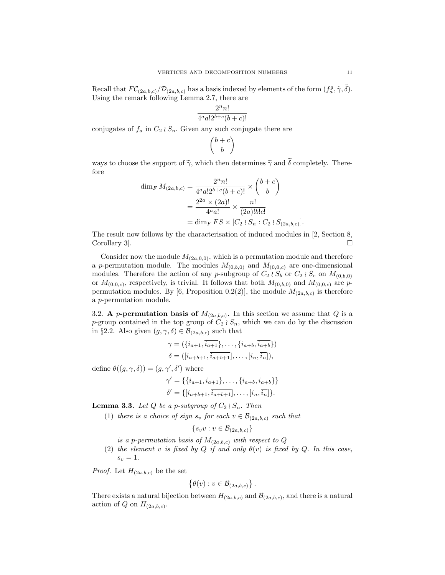Recall that  $FC_{(2a,b,c)}/\mathcal{D}_{(2a,b,c)}$  has a basis indexed by elements of the form  $(f_a^g, \tilde{\gamma}, \tilde{\delta})$ . Using the remark following Lemma 2.7, there are

$$
\frac{2^nn!}{4^aa!2^{b+c}(b+c)!}
$$

conjugates of  $f_a$  in  $C_2 \wr S_n$ . Given any such conjugate there are

$$
\binom{b+c}{b}
$$

ways to choose the support of  $\tilde{\gamma}$ , which then determines  $\tilde{\gamma}$  and  $\tilde{\delta}$  completely. Therefore

$$
\dim_F M_{(2a,b,c)} = \frac{2^n n!}{4^a a! 2^{b+c} (b+c)!} \times {b+c \choose b}
$$

$$
= \frac{2^{2a} \times (2a)!}{4^a a!} \times \frac{n!}{(2a)! b! c!}
$$

$$
= \dim_F FS \times [C_2 \wr S_n : C_2 \wr S_{(2a,b,c)}].
$$

The result now follows by the characterisation of induced modules in [2, Section 8, Corollary 3.

Consider now the module  $M_{(2a,0,0)}$ , which is a permutation module and therefore a p-permutation module. The modules  $M_{(0,b,0)}$  and  $M_{(0,0,c)}$  are one-dimensional modules. Therefore the action of any p-subgroup of  $C_2 \wr S_b$  or  $C_2 \wr S_c$  on  $M_{(0,b,0)}$ or  $M_{(0,0,c)}$ , respectively, is trivial. It follows that both  $M_{(0,b,0)}$  and  $M_{(0,0,c)}$  are ppermutation modules. By [6, Proposition 0.2(2)], the module  $M_{(2a,b,c)}$  is therefore a p-permutation module.

3.2. A p-permutation basis of  $M_{(2a,b,c)}$ . In this section we assume that Q is a p-group contained in the top group of  $C_2 \wr S_n$ , which we can do by the discussion in §2.2. Also given  $(g, \gamma, \delta) \in \mathcal{B}_{(2a,b,c)}$  such that

$$
\gamma = (\{i_{a+1}, \overline{i_{a+1}}\}, \dots, \{i_{a+b}, \overline{i_{a+b}}\})
$$
  

$$
\delta = ([i_{a+b+1}, \overline{i_{a+b+1}}], \dots, [i_n, \overline{i_n}]),
$$

define  $\theta((g, \gamma, \delta)) = (g, \gamma', \delta')$  where

$$
\gamma' = \{ \{i_{a+1}, \overline{i_{a+1}}\}, \dots, \{i_{a+b}, \overline{i_{a+b}}\} \}
$$
  

$$
\delta' = \{ [i_{a+b+1}, \overline{i_{a+b+1}}], \dots, [i_n, \overline{i_n}]\}.
$$

**Lemma 3.3.** Let Q be a p-subgroup of  $C_2 \wr S_n$ . Then

(1) there is a choice of sign  $s_v$  for each  $v \in \mathcal{B}_{(2a,b,c)}$  such that

$$
\{s_vv:v\in \mathcal{B}_{(2a,b,c)}\}
$$

is a p-permutation basis of  $M_{(2a,b,c)}$  with respect to Q

(2) the element v is fixed by Q if and only  $\theta(v)$  is fixed by Q. In this case,  $s_v = 1$ .

*Proof.* Let  $H_{(2a,b,c)}$  be the set

$$
\{\theta(v): v \in \mathcal{B}_{(2a,b,c)}\}.
$$

There exists a natural bijection between  $H_{(2a,b,c)}$  and  $\mathcal{B}_{(2a,b,c)}$ , and there is a natural action of Q on  $H_{(2a,b,c)}$ .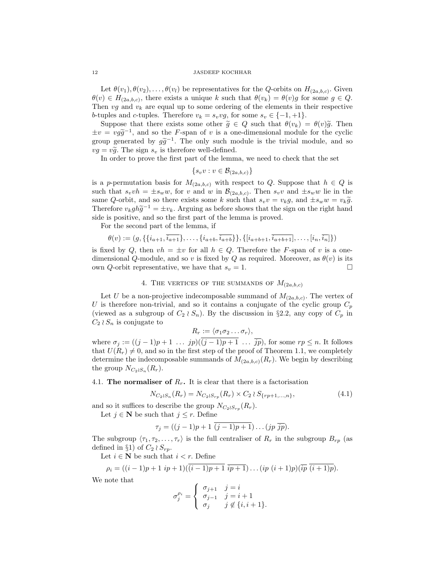Let  $\theta(v_1), \theta(v_2), \ldots, \theta(v_l)$  be representatives for the Q-orbits on  $H_{(2a,b,c)}$ . Given  $\theta(v) \in H_{(2a,b,c)}$ , there exists a unique k such that  $\theta(v_k) = \theta(v)g$  for some  $g \in Q$ . Then  $vg$  and  $v_k$  are equal up to some ordering of the elements in their respective b-tuples and c-tuples. Therefore  $v_k = s_v v g$ , for some  $s_v \in \{-1, +1\}.$ 

Suppose that there exists some other  $\tilde{g} \in Q$  such that  $\theta(v_k) = \theta(v)\tilde{g}$ . Then  $\pm v = v g \tilde{g}^{-1}$ , and so the F-span of v is a one-dimensional module for the cyclic group generated by  $g \tilde{g}^{-1}$ . The only such module is the trivial module and so group generated by  $g\tilde{g}^{-1}$ . The only such module is the trivial module, and so  $g = g\tilde{g}^{-1}$ . The sign  $g$  is therefore well defined  $vg = v\tilde{g}$ . The sign  $s_v$  is therefore well-defined.

In order to prove the first part of the lemma, we need to check that the set

$$
\{s_v v : v \in \mathcal{B}_{(2a,b,c)}\}
$$

is a p-permutation basis for  $M_{(2a,b,c)}$  with respect to Q. Suppose that  $h \in Q$  is such that  $s_v v h = \pm s_w w$ , for v and w in  $\mathcal{B}_{(2a,b,c)}$ . Then  $s_v v$  and  $\pm s_w w$  lie in the same Q-orbit, and so there exists some k such that  $s_vv = v_kg$ , and  $\pm s_ww = v_k\tilde{g}$ . Therefore  $v_k gh\tilde{g}^{-1} = \pm v_k$ . Arguing as before shows that the sign on the right hand<br>side is positive, and so the first part of the lamma is proved side is positive, and so the first part of the lemma is proved.

For the second part of the lemma, if

$$
\theta(v) := (g, \{ \{i_{a+1}, \overline{i_{a+1}}\}, \ldots, \{i_{a+b}, \overline{i_{a+b}}\} \}, \{ [i_{a+b+1}, \overline{i_{a+b+1}}], \ldots, [i_n, \overline{i_n}] \})
$$

is fixed by Q, then  $vh = \pm v$  for all  $h \in Q$ . Therefore the F-span of v is a onedimensional Q-module, and so v is fixed by Q as required. Moreover, as  $\theta(v)$  is its own *Q*-orbit representative, we have that  $s_v = 1$ .

## 4. THE VERTICES OF THE SUMMANDS OF  $M_{(2a,b,c)}$

Let U be a non-projective indecomposable summand of  $M_{(2a,b,c)}$ . The vertex of U is therefore non-trivial, and so it contains a conjugate of the cyclic group  $C_p$ (viewed as a subgroup of  $C_2 \wr S_n$ ). By the discussion in §2.2, any copy of  $C_p$  in  $C_2 \wr S_n$  is conjugate to

$$
R_r := \langle \sigma_1 \sigma_2 \dots \sigma_r \rangle,
$$

where  $\sigma_j := ((j-1)p+1 \ldots jp)((j-1)p+1 \ldots \bar{j}p)$ , for some  $rp \leq n$ . It follows that  $U(R_r) \neq 0$ , and so in the first step of the proof of Theorem 1.1, we completely determine the indecomposable summands of  $M_{(2a,b,c)}(R_r)$ . We begin by describing the group  $N_{C_2 \wr S_n}(R_r)$ .

4.1. The normaliser of  $R_r$ . It is clear that there is a factorisation

$$
N_{C_2 \wr S_n}(R_r) = N_{C_2 \wr S_{rp}}(R_r) \times C_2 \wr S_{\{rp+1,\dots,n\}},\tag{4.1}
$$

and so it suffices to describe the group  $N_{C_2 \wr S_{rp}}(R_r)$ .

Let  $j \in \mathbb{N}$  be such that  $j \leq r$ . Define

$$
\tau_j=((j-1)p+1\ \overline{(j-1)p+1})\dots (jp\ \overline{jp}).
$$

The subgroup  $\langle \tau_1, \tau_2, \ldots, \tau_r \rangle$  is the full centraliser of  $R_r$  in the subgroup  $B_{rp}$  (as defined in §1) of  $C_2 \wr S_{rp}$ .

Let  $i \in \mathbb{N}$  be such that  $i < r$ . Define

$$
\rho_i = ((i-1)p+1 \; ip+1)(\overline{(i-1)p+1} \; \overline{ip+1}) \dots (ip \; (i+1)p)(\overline{ip} \; \overline{(i+1)p}).
$$

We note that

$$
\sigma_j^{\rho_i} = \begin{cases} \sigma_{j+1} & j = i \\ \sigma_{j-1} & j = i+1 \\ \sigma_j & j \notin \{i, i+1\}. \end{cases}
$$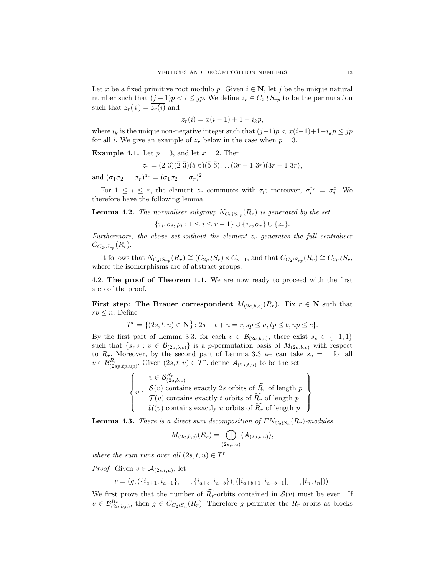Let x be a fixed primitive root modulo p. Given  $i \in \mathbb{N}$ , let j be the unique natural number such that  $(j-1)p < i \leq jp$ . We define  $z_r \in C_2 \wr S_{rp}$  to be the permutation such that  $z_r(\overline{i}) = \overline{z_r(i)}$  and

$$
z_r(i) = x(i-1) + 1 - i_k p,
$$

where  $i_k$  is the unique non-negative integer such that  $(j-1)p < x(i-1)+1-i_k p \leq jp$ for all *i*. We give an example of  $z_r$  below in the case when  $p = 3$ .

**Example 4.1.** Let  $p = 3$ , and let  $x = 2$ . Then

$$
z_r = (2\ 3)(\overline{2}\ \overline{3})(5\ 6)(\overline{5}\ \overline{6})\dots(3r-1\ 3r)(\overline{3r-1}\ \overline{3r}),
$$

and  $(\sigma_1 \sigma_2 \ldots \sigma_r)^{z_r} = (\sigma_1 \sigma_2 \ldots \sigma_r)^2$ .

For  $1 \leq i \leq r$ , the element  $z_r$  commutes with  $\tau_i$ ; moreover,  $\sigma_i^{z_r} = \sigma_i^x$ . We therefore have the following lemma.

**Lemma 4.2.** The normaliser subgroup  $N_{C_2 \wr S_{rp}}(R_r)$  is generated by the set

$$
\{\tau_i, \sigma_i, \rho_i : 1 \leq i \leq r-1\} \cup \{\tau_r, \sigma_r\} \cup \{z_r\}.
$$

Furthermore, the above set without the element  $z_r$  generates the full centraliser  $C_{C_2\wr S_{rp}}(R_r)$ .

It follows that  $N_{C_2 \wr S_{rp}}(R_r) \cong (C_{2p} \wr S_r) \rtimes C_{p-1}$ , and that  $C_{C_2 \wr S_{rp}}(R_r) \cong C_{2p} \wr S_r$ , where the isomorphisms are of abstract groups.

4.2. The proof of Theorem 1.1. We are now ready to proceed with the first step of the proof.

First step: The Brauer correspondent  $M_{(2a,b,c)}(R_r)$ . Fix  $r \in \mathbb{N}$  such that  $rp \leq n$ . Define

$$
T^r = \{ (2s, t, u) \in \mathbb{N}_0^3 : 2s + t + u = r, sp \le a, tp \le b, up \le c \}.
$$

By the first part of Lemma 3.3, for each  $v \in \mathcal{B}_{(2a,b,c)}$ , there exist  $s_v \in \{-1,1\}$ such that  $\{s_v v : v \in \mathcal{B}_{(2a,b,c)}\}$  is a p-permutation basis of  $M_{(2a,b,c)}$  with respect to  $R_r$ . Moreover, by the second part of Lemma 3.3 we can take  $s_v = 1$  for all  $v \in \mathcal{B}_{(2sp, tp, up)}^{R_r}$ . Given  $(2s, t, u) \in T^r$ , define  $\mathcal{A}_{(2s,t,u)}$  to be the set

$$
\begin{Bmatrix}\nv \in \mathcal{B}_{(2a,b,c)}^{R_r} \\
v : \quad \mathcal{S}(v) \text{ contains exactly } 2s \text{ orbits of } \widehat{R_r} \text{ of length } p \\
\mathcal{T}(v) \text{ contains exactly } t \text{ orbits of } \widehat{R_r} \text{ of length } p \\
\mathcal{U}(v) \text{ contains exactly } u \text{ orbits of } \widehat{R_r} \text{ of length } p\n\end{Bmatrix}.
$$

**Lemma 4.3.** There is a direct sum decomposition of  $FN_{C_2 \wr S_n}(R_r)$ -modules

$$
M_{(2a,b,c)}(R_r) = \bigoplus_{(2s,t,u)} \langle A_{(2s,t,u)} \rangle,
$$

where the sum runs over all  $(2s, t, u) \in T^r$ .

*Proof.* Given  $v \in \mathcal{A}_{(2s,t,u)}$ , let

$$
v = (g, (\{i_{a+1}, \overline{i_{a+1}}\}, \ldots, \{i_{a+b}, \overline{i_{a+b}}\}), ([i_{a+b+1}, \overline{i_{a+b+1}}], \ldots, [i_n, \overline{i_n}])).
$$

We first prove that the number of  $\widehat{R}_r$ -orbits contained in  $\mathcal{S}(v)$  must be even. If  $v \in \mathcal{B}_{(2a,b,c)}^{R_r}$ , then  $g \in C_{C_2 \wr S_n}(R_r)$ . Therefore g permutes the  $R_r$ -orbits as blocks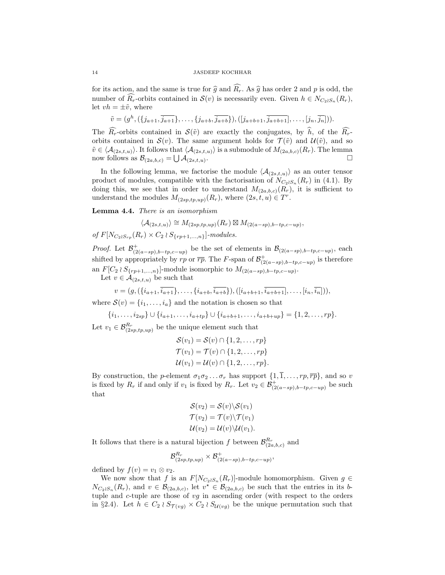for its action, and the same is true for  $\hat{g}$  and  $\widehat{R_r}$ . As  $\hat{g}$  has order 2 and p is odd, the number of  $R_r$ -orbits contained in  $\mathcal{S}(v)$  is necessarily even. Given  $h \in N_{C_2 \wr S_n}(R_r)$ , let  $vh = \pm \tilde{v}$ , where

$$
\tilde{v} = (g^h, (\{j_{a+1}, \overline{j_{a+1}}\}, \ldots, \{j_{a+b}, \overline{j_{a+b}}\}), ([j_{a+b+1}, \overline{j_{a+b+1}}], \ldots, [j_n, \overline{j_n}])).
$$

The  $R_r$ -orbits contained in  $\mathcal{S}(\tilde{v})$  are exactly the conjugates, by  $\hat{h}$ , of the  $\widehat{R_r}$ orbits contained in  $S(v)$ . The same argument holds for  $\mathcal{T}(\tilde{v})$  and  $\mathcal{U}(\tilde{v})$ , and so  $\tilde{v} \in \langle \mathcal{A}_{(2s,t,u)} \rangle$ . It follows that  $\langle \mathcal{A}_{(2s,t,u)} \rangle$  is a submodule of  $M_{(2a,b,c)}(R_r)$ . The lemma now follows as  $\mathcal{B}_{(2a,b,c)} = \bigcup \mathcal{A}_{(2s,t,u)}$ .

In the following lemma, we factorise the module  $\langle A_{(2s,t,u)} \rangle$  as an outer tensor product of modules, compatible with the factorisation of  $N_{C_2 \wr S_n}(R_r)$  in (4.1). By doing this, we see that in order to understand  $M_{(2a,b,c)}(R_r)$ , it is sufficient to understand the modules  $M_{(2sp, tp, up)}(R_r)$ , where  $(2s, t, u) \in T^r$ .

Lemma 4.4. There is an isomorphism

 $\langle \mathcal{A}_{(2s,t,u)} \rangle \cong M_{(2sp(tp,up)}(R_r) \boxtimes M_{(2(a-sp),b-tp,c-up)},$ of  $F[N_{C_2 \wr S_{rp}}(R_r) \times C_2 \wr S_{\{rp+1,...,n\}}]$ -modules.

*Proof.* Let  $\mathcal{B}^+_{(2(a-sp),b-tp,c-up)}$  be the set of elements in  $\mathcal{B}_{(2(a-sp),b-tp,c-up)}$ , each shifted by appropriately by rp or  $\overline{rp}$ . The F-span of  $\mathcal{B}^+_{(2(a-sp),b-tp,c-up)}$  is therefore an  $F[C_2 \wr S_{\{rp+1,\ldots,n\}}]$ -module isomorphic to  $M_{(2(a-sp),b-tp,c-up)}$ .

Let  $v \in \mathcal{A}_{(2s,t,u)}$  be such that

$$
v = (g, (\{i_{a+1}, \overline{i_{a+1}}\}, \ldots, \{i_{a+b}, \overline{i_{a+b}}\}), ([i_{a+b+1}, \overline{i_{a+b+1}}], \ldots, [i_n, \overline{i_n}]))
$$

where  $\mathcal{S}(v) = \{i_1, \ldots, i_a\}$  and the notation is chosen so that

$$
\{i_1,\ldots,i_{2sp}\}\cup\{i_{a+1},\ldots,i_{a+tp}\}\cup\{i_{a+b+1},\ldots,i_{a+b+up}\}=\{1,2,\ldots,rp\}.
$$

Let  $v_1 \in \mathcal{B}_{(2sp,tp,up)}^{R_r}$  be the unique element such that

$$
\mathcal{S}(v_1) = \mathcal{S}(v) \cap \{1, 2, \dots, rp\}
$$

$$
\mathcal{T}(v_1) = \mathcal{T}(v) \cap \{1, 2, \dots, rp\}
$$

$$
\mathcal{U}(v_1) = \mathcal{U}(v) \cap \{1, 2, \dots, rp\}.
$$

By construction, the p-element  $\sigma_1 \sigma_2 \ldots \sigma_r$  has support  $\{1, \overline{1}, \ldots, rp, \overline{rp}\}\,$  and so v is fixed by  $R_r$  if and only if  $v_1$  is fixed by  $R_r$ . Let  $v_2 \in \mathcal{B}^+_{(2(a-sp),b-tp,c-up)}$  be such that

$$
\mathcal{S}(v_2) = \mathcal{S}(v) \backslash \mathcal{S}(v_1)
$$

$$
\mathcal{T}(v_2) = \mathcal{T}(v) \backslash \mathcal{T}(v_1)
$$

$$
\mathcal{U}(v_2) = \mathcal{U}(v) \backslash \mathcal{U}(v_1).
$$

It follows that there is a natural bijection f between  $\mathcal{B}^{R_r}_{(2a,b,c)}$  and

$$
\mathcal{B}_{(2sp(tp,up)}^{R_r}\times \mathcal{B}_{(2(a-sp),b(tp,c-up)}^+ ,
$$

defined by  $f(v) = v_1 \otimes v_2$ .

We now show that f is an  $F[N_{C_2 \wr S_n}(R_r)]$ -module homomorphism. Given  $g \in$  $N_{C_2 \wr S_n}(R_r)$ , and  $v \in \mathcal{B}_{(2a,b,c)}$ , let  $v^* \in \mathcal{B}_{(2a,b,c)}$  be such that the entries in its btuple and  $c$ -tuple are those of  $vg$  in ascending order (with respect to the orders in §2.4). Let  $h \in C_2 \wr S_{\mathcal{T}(vg)} \times C_2 \wr S_{\mathcal{U}(vg)}$  be the unique permutation such that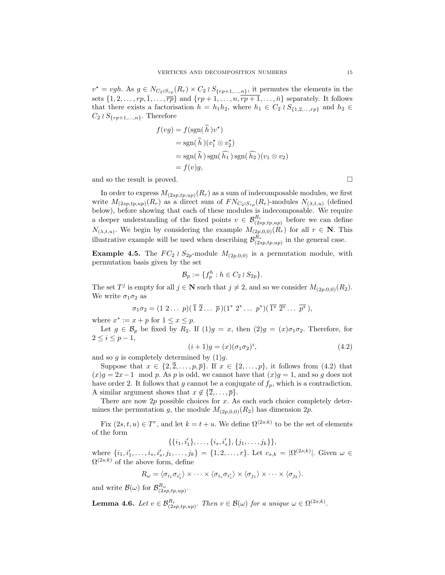$v^* = vgh$ . As  $g \in N_{C_2 \wr S_{rp}}(R_r) \times C_2 \wr S_{\{rp+1,...,n\}}$ , it permutes the elements in the sets  $\{1, 2, \ldots, rp, \overline{1}, \ldots, \overline{rp}\}\$  and  $\{rp + 1, \ldots, n, \overline{rp + 1}, \ldots, \overline{n}\}\$  separately. It follows that there exists a factorisation  $h = h_1 h_2$ , where  $h_1 \in C_2 \wr S_{\{1,2,\ldots,rp\}}$  and  $h_2 \in$  $C_2 \wr S_{\{rp+1,\ldots,n\}}$ . Therefore

$$
f(vg) = f(\text{sgn}(\hat{h})v^*)
$$
  
= sgn(\hat{h})(v\_1^\* \otimes v\_2^\*)  
= sgn(\hat{h}) sgn(\hat{h\_1}) sgn(\hat{h\_2}) (v\_1 \otimes v\_2)  
= f(v)g,

and so the result is proved.  $\Box$ 

In order to express  $M_{(2sp,tp,up)}(R_r)$  as a sum of indecomposable modules, we first write  $M_{(2sp, tp, up)}(R_r)$  as a direct sum of  $FN_{C_2 \wr S_{rp}}(R_r)$ -modules  $N_{(\lambda, t, u)}$  (defined below), before showing that each of these modules is indecomposable. We require a deeper understanding of the fixed points  $v \in \mathcal{B}_{(2sp,t_p,u_p)}^{R_r}$  before we can define  $N_{(\lambda,t,u)}$ . We begin by considering the example  $M_{(2p,0,0)}(R_r)$  for all  $r \in \mathbb{N}$ . This illustrative example will be used when describing  $\mathcal{B}_{(2sp,tp,up)}^{R_r}$  in the general case.

**Example 4.5.** The  $FC_2 \wr S_{2p}$ -module  $M_{(2p,0,0)}$  is a permutation module, with permutation basis given by the set

$$
\mathcal{B}_p := \{ f_p^h : h \in C_2 \wr S_{2p} \}.
$$

The set  $T^j$  is empty for all  $j \in \mathbb{N}$  such that  $j \neq 2$ , and so we consider  $M_{(2p,0,0)}(R_2)$ . We write  $\sigma_1 \sigma_2$  as

$$
\sigma_1\sigma_2=(1\ 2\ldots\ p)(\overline{1}\ \overline{2}\ldots\ \overline{p})(1^*\ 2^*\ldots\ p^*)(\overline{1^*}\ \overline{2^*}\ldots\ \overline{p^*}),
$$

where  $x^* := x + p$  for  $1 \le x \le p$ .

Let  $g \in \mathcal{B}_p$  be fixed by  $R_2$ . If  $(1)g = x$ , then  $(2)g = (x)\sigma_1\sigma_2$ . Therefore, for  $2 \leq i \leq p-1$ ,

$$
(i+1)g = (x)(\sigma_1 \sigma_2)^i, \tag{4.2}
$$

and so  $g$  is completely determined by  $(1)g$ .

Suppose that  $x \in \{2, \overline{2}, \ldots, p, \overline{p}\}$ . If  $x \in \{2, \ldots, p\}$ , it follows from  $(4.2)$  that  $(x)g = 2x-1 \mod p$ . As p is odd, we cannot have that  $(x)g = 1$ , and so g does not have order 2. It follows that g cannot be a conjugate of  $f_p$ , which is a contradiction. A similar argument shows that  $x \notin \{\overline{2}, \ldots, \overline{p}\}.$ 

There are now  $2p$  possible choices for x. As each such choice completely determines the permutation g, the module  $M_{(2p,0,0)}(R_2)$  has dimension  $2p$ .

Fix  $(2s, t, u) \in T^r$ , and let  $k = t + u$ . We define  $\Omega^{(2s,k)}$  to be the set of elements of the form

$$
\{\{i_1,i'_1\},\ldots,\{i_s,i'_s\},\{j_1,\ldots,j_k\}\},\
$$

where  $\{i_1, i'_1, \ldots, i_s, i'_s, j_1, \ldots, j_k\} = \{1, 2, \ldots, r\}$ . Let  $c_{s,k} = |\Omega^{(2s;k)}|$ . Given  $\omega \in$  $\Omega^{(2s;k)}$  of the above form, define

$$
R_{\omega} = \langle \sigma_{i_1} \sigma_{i'_1} \rangle \times \cdots \times \langle \sigma_{i_s} \sigma_{i'_s} \rangle \times \langle \sigma_{j_1} \rangle \times \cdots \times \langle \sigma_{j_k} \rangle.
$$

and write  $\mathcal{B}(\omega)$  for  $\mathcal{B}^{R_{\omega}}_{(2sp, tp, up)}$ .

**Lemma 4.6.** Let  $v \in \mathcal{B}_{(2sp,tp,up)}^{R_r}$ . Then  $v \in \mathcal{B}(\omega)$  for a unique  $\omega \in \Omega^{(2s;k)}$ .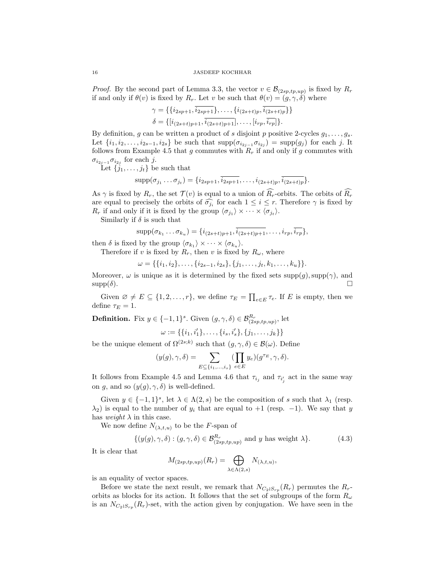*Proof.* By the second part of Lemma 3.3, the vector  $v \in \mathcal{B}_{(2sp,tp,up)}$  is fixed by  $R_r$ if and only if  $\theta(v)$  is fixed by  $R_r$ . Let v be such that  $\theta(v) = (g, \gamma, \delta)$  where

$$
\gamma = \{ \{i_{2sp+1}, \overline{i_{2sp+1}} \}, \dots, \{i_{(2s+t)p}, \overline{i_{(2s+t)p}} \} \}
$$
  

$$
\delta = \{ [i_{(2s+t)p+1}, \overline{i_{(2s+t)p+1}}], \dots, [i_{rp}, \overline{i_{rp}}] \}.
$$

By definition, g can be written a product of s disjoint p positive 2-cycles  $g_1, \ldots, g_s$ . Let  $\{i_1, i_2, \ldots, i_{2s-1}, i_{2s}\}$  be such that  $\text{supp}(\sigma_{i_{2j-1}} \sigma_{i_{2j}}) = \text{supp}(g_j)$  for each j. It follows from Example 4.5 that g commutes with  $R_r$  if and only if g commutes with  $\sigma_{i_{2j-1}}\sigma_{i_{2j}}$  for each j.

Let  $\{j_1, \ldots, j_t\}$  be such that

$$
supp(\sigma_{j_1} \ldots \sigma_{j_t}) = \{i_{2sp+1}, \overline{i_{2sp+1}}, \ldots, i_{(2s+t)p}, \overline{i_{(2s+t)p}}\}.
$$

As  $\gamma$  is fixed by  $R_r$ , the set  $\mathcal{T}(v)$  is equal to a union of  $\widehat{R_r}$ -orbits. The orbits of  $\widehat{R_r}$ are equal to precisely the orbits of  $\widehat{\sigma}_{i}$  for each  $1 \leq i \leq r$ . Therefore  $\gamma$  is fixed by  $P$  if and only if it is fixed by the group  $\langle \sigma_{i} \rangle \times \langle \sigma_{i} \rangle$  $R_r$  if and only if it is fixed by the group  $\langle \sigma_{j_1} \rangle \times \cdots \times \langle \sigma_{j_t} \rangle$ .

Similarly if  $\delta$  is such that

$$
supp(\sigma_{k_1} \ldots \sigma_{k_u}) = \{i_{(2s+t)p+1}, \overline{i_{(2s+t)p+1}}, \ldots, i_{rp}, \overline{i_{rp}}\},\
$$

then  $\delta$  is fixed by the group  $\langle \sigma_{k_1} \rangle \times \cdots \times \langle \sigma_{k_u} \rangle$ .

Therefore if v is fixed by  $R_r$ , then v is fixed by  $R_\omega$ , where

$$
\omega = \{ \{i_1, i_2\}, \ldots, \{i_{2s-1}, i_{2s}\}, \{j_1, \ldots, j_t, k_1, \ldots, k_u\} \}.
$$

Moreover,  $\omega$  is unique as it is determined by the fixed sets  $supp(g)$ ,  $supp(\gamma)$ , and  $\text{supp}(\delta).$ 

Given  $\emptyset \neq E \subseteq \{1, 2, ..., r\}$ , we define  $\tau_E = \prod_{e \in E} \tau_e$ . If E is empty, then we define  $\tau_E = 1$ .

**Definition.** Fix  $y \in \{-1, 1\}^s$ . Given  $(g, \gamma, \delta) \in \mathcal{B}^{R_r}_{(2sp, tp, up)},$  let

$$
\omega := \{ \{i_1, i'_1\}, \ldots, \{i_s, i'_s\}, \{j_1, \ldots, j_k\} \}
$$

be the unique element of  $\Omega^{(2s;k)}$  such that  $(g, \gamma, \delta) \in \mathcal{B}(\omega)$ . Define

$$
(y(g), \gamma, \delta) = \sum_{E \subseteq \{i_1, \dots, i_s\}} (\prod_{e \in E} y_e)(g^{\tau_E}, \gamma, \delta).
$$

It follows from Example 4.5 and Lemma 4.6 that  $\tau_{i_j}$  and  $\tau_{i'_j}$  act in the same way on g, and so  $(y(g), \gamma, \delta)$  is well-defined.

Given  $y \in \{-1,1\}^s$ , let  $\lambda \in \Lambda(2,s)$  be the composition of s such that  $\lambda_1$  (resp.  $\lambda_2$ ) is equal to the number of  $y_i$  that are equal to +1 (resp. -1). We say that y has weight  $\lambda$  in this case.

We now define  $N_{(\lambda,t,u)}$  to be the F-span of

$$
\{(y(g), \gamma, \delta) : (g, \gamma, \delta) \in \mathcal{B}_{(2sp, tp, up)}^{R_r} \text{ and } y \text{ has weight } \lambda\}.
$$
 (4.3)

It is clear that

$$
M_{(2sp,tp,up)}(R_r) = \bigoplus_{\lambda \in \Lambda(2,s)} N_{(\lambda,t,u)},
$$

is an equality of vector spaces.

Before we state the next result, we remark that  $N_{C_2 \wr S_{rp}}(R_r)$  permutes the  $R_r$ orbits as blocks for its action. It follows that the set of subgroups of the form  $R_{\omega}$ is an  $N_{C_2 \wr S_{rp}}(R_r)$ -set, with the action given by conjugation. We have seen in the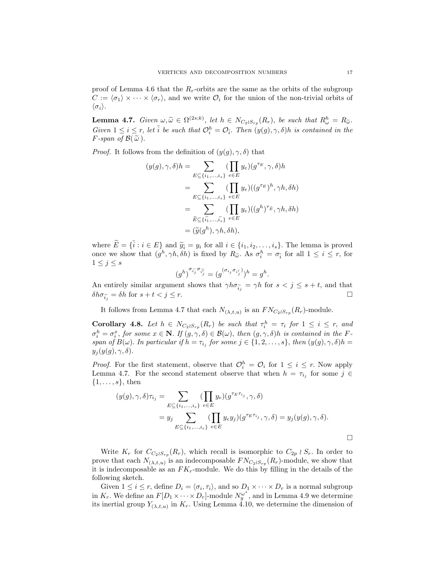proof of Lemma 4.6 that the  $R_r$ -orbits are the same as the orbits of the subgroup  $C := \langle \sigma_1 \rangle \times \cdots \times \langle \sigma_r \rangle$ , and we write  $\mathcal{O}_i$  for the union of the non-trivial orbits of  $\langle \sigma_i \rangle$ .

**Lemma 4.7.** Given  $\omega, \widetilde{\omega} \in \Omega^{(2s;k)}$ , let  $h \in N_{C_2 \wr S_{rp}}(R_r)$ , be such that  $R_{\omega}^h = R_{\widetilde{\omega}}$ . Given  $1 \leq i \leq r$ , let  $\tilde{i}$  be such that  $\mathcal{O}_i^h = \mathcal{O}_{\tilde{i}}$ . Then  $(y(g), \gamma, \delta)$  is contained in the *F*-span of  $\mathcal{B}(\tilde{\omega})$ .

*Proof.* It follows from the definition of  $(y(g), \gamma, \delta)$  that

$$
(y(g), \gamma, \delta)h = \sum_{E \subseteq \{i_1, \dots, i_s\}} (\prod_{e \in E} y_e) (g^{\tau_E}, \gamma, \delta)h
$$
  
= 
$$
\sum_{E \subseteq \{i_1, \dots, i_s\}} (\prod_{e \in E} y_e) ((g^{\tau_E})^h, \gamma h, \delta h)
$$
  
= 
$$
\sum_{\tilde{E} \subseteq \{\tilde{i_1}, \dots, \tilde{i_s}\}} (\prod_{e \in E} y_e) ((g^h)^{\tau_{\tilde{E}}}, \gamma h, \delta h)
$$
  
= 
$$
(\tilde{y}(g^h), \gamma h, \delta h),
$$

where  $\widetilde{E} = \{\widetilde{i} : i \in E\}$  and  $\widetilde{y_i} = y_i$  for all  $i \in \{i_1, i_2, \ldots, i_s\}$ . The lemma is proved once we show that  $(g^h, \gamma h, \delta h)$  is fixed by  $R_{\tilde{\omega}}$ . As  $\sigma_i^h = \sigma_{\tilde{i}}$  for all  $1 \leq i \leq r$ , for  $1 \leq j \leq s$ 

$$
(g^h)^{\sigma_{\widetilde{ij}}\sigma_{\widetilde{ij}}}=(g^{(\sigma_{i_j}\sigma_{i'_j})})^h=g^h
$$

.

An entirely similar argument shows that  $\gamma h \sigma_{\tilde{i}_j} = \gamma h$  for  $s < j \leq s+t$ , and that  $\delta h \sigma_{\tilde{i}_j} = \delta h$  for  $s + t < j \leq r$ .

It follows from Lemma 4.7 that each  $N_{(\lambda,t,u)}$  is an  $FN_{C_2 \wr S_{rp}}(R_r)$ -module.

**Corollary 4.8.** Let  $h \in N_{C_2 \wr S_{rp}}(R_r)$  be such that  $\tau_i^h = \tau_i$  for  $1 \leq i \leq r$ , and  $\sigma_i^h = \sigma_i^x$ , for some  $x \in \mathbb{N}$ . If  $(g, \gamma, \delta) \in \mathcal{B}(\omega)$ , then  $(g, \gamma, \delta)$  is contained in the Fspan of  $B(\omega)$ . In particular if  $h = \tau_{i_j}$  for some  $j \in \{1, 2, ..., s\}$ , then  $(y(g), \gamma, \delta)h =$  $y_j(y(g), \gamma, \delta).$ 

*Proof.* For the first statement, observe that  $\mathcal{O}_i^h = \mathcal{O}_i$  for  $1 \leq i \leq r$ . Now apply Lemma 4.7. For the second statement observe that when  $h = \tau_{i_j}$  for some  $j \in$  $\{1, \ldots, s\}$ , then

$$
(y(g), \gamma, \delta)\tau_{i_j} = \sum_{E \subseteq \{i_1, \dots, i_s\}} (\prod_{e \in E} y_e)(g^{\tau_E \tau_{i_j}}, \gamma, \delta)
$$
  
= 
$$
y_j \sum_{E \subseteq \{i_1, \dots, i_s\}} (\prod_{e \in E} y_e y_j)(g^{\tau_E \tau_{i_j}}, \gamma, \delta) = y_j(y(g), \gamma, \delta).
$$

Write  $K_r$  for  $C_{C_2 \wr S_{rp}}(R_r)$ , which recall is isomorphic to  $C_{2p} \wr S_r$ . In order to prove that each  $N_{(\lambda,t,u)}$  is an indecomposable  $FN_{C_2 \wr S_{rp}}(R_r)$ -module, we show that it is indecomposable as an  $FK_r$ -module. We do this by filling in the details of the following sketch.

Given  $1 \le i \le r$ , define  $D_i = \langle \sigma_i, \tau_i \rangle$ , and so  $D_1 \times \cdots \times D_r$  is a normal subgroup in  $K_r$ . We define an  $F[D_1 \times \cdots \times D_r]$ -module  $N_y^{\omega^*}$ , and in Lemma 4.9 we determine its inertial group  $Y_{(\lambda,t,u)}$  in  $K_r$ . Using Lemma 4.10, we determine the dimension of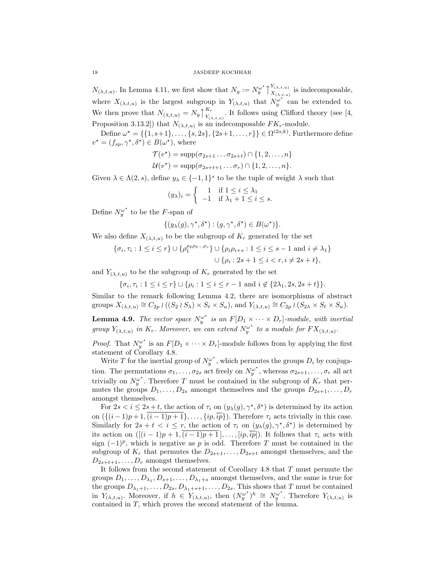$N_{(\lambda,t,u)}.$  In Lemma 4.11, we first show that  $N_y := N_y^{\omega^*} \uparrow$  $Y_{(\lambda,t,u)}$  $X^{I(\lambda,t,u)}_{( \lambda,t,u)}$  is indecomposable, where  $X_{(\lambda,t,u)}$  is the largest subgroup in  $Y_{(\lambda,t,u)}$  that  $N_y^{\omega^*}$  can be extended to. We then prove that  $N_{(\lambda,t,u)} = N_y \uparrow$  $K_r$  $\frac{K_r}{Y_{(\lambda,t,u)}}$ . It follows using Clifford theory (see [4, Proposition 3.13.2) that  $N_{(\lambda,t,u)}$  is an indecomposable  $FK_r$ -module.

Define  $\omega^* = \{\{1, s+1\}, \ldots, \{s, 2s\}, \{2s+1, \ldots, r\}\}\in \Omega^{(2s;k)}$ . Furthermore define  $v^* = (f_{sp}, \gamma^*, \delta^*) \in B(\omega^*),$  where

$$
\mathcal{T}(v^*) = \text{supp}(\sigma_{2s+1} \dots \sigma_{2s+t}) \cap \{1, 2, \dots, n\}
$$

$$
\mathcal{U}(v^*) = \text{supp}(\sigma_{2s+t+1} \dots \sigma_r) \cap \{1, 2, \dots, n\}.
$$

Given  $\lambda \in \Lambda(2, s)$ , define  $y_{\lambda} \in \{-1, 1\}^s$  to be the tuple of weight  $\lambda$  such that

$$
(y_{\lambda})_i = \begin{cases} 1 & \text{if } 1 \leq i \leq \lambda_1 \\ -1 & \text{if } \lambda_1 + 1 \leq i \leq s. \end{cases}
$$

Define  $N_y^{\omega^*}$  to be the F-span of

$$
\{(y_{\lambda}(g),\gamma^{\star},\delta^{\star}) : (g,\gamma^{\star},\delta^{\star}) \in B(\omega^{\star})\}.
$$

We also define  $X_{(\lambda,t,u)}$  to be the subgroup of  $K_r$  generated by the set

$$
\{\sigma_i, \tau_i : 1 \le i \le r\} \cup \{\rho_1^{\rho_2 \rho_3 \dots \rho_s}\} \cup \{\rho_i \rho_{i+s} : 1 \le i \le s-1 \text{ and } i \neq \lambda_1\}
$$

$$
\cup \{\rho_i : 2s+1 \le i < r, i \neq 2s+t\},\
$$

and  $Y_{(\lambda,t,u)}$  to be the subgroup of  $K_r$  generated by the set

$$
\{\sigma_i, \tau_i: 1 \le i \le r\} \cup \{\rho_i: 1 \le i \le r-1 \text{ and } i \notin \{2\lambda_1, 2s, 2s+t\}\}.
$$

Similar to the remark following Lemma 4.2, there are isomorphisms of abstract groups  $X_{(\lambda,t,u)} \cong C_{2p} \wr ((S_2 \wr S_\lambda) \times S_t \times S_u)$ , and  $Y_{(\lambda,t,u)} \cong C_{2p} \wr (S_{2\lambda} \times S_t \times S_u)$ .

**Lemma 4.9.** The vector space  $N_y^{\omega^*}$  is an  $F[D_1 \times \cdots \times D_r]$ -module, with inertial group  $Y_{(\lambda,t,u)}$  in  $K_r$ . Moreover, we can extend  $N_y^{\omega^*}$  to a module for  $FX_{(\lambda,t,u)}$ .

*Proof.* That  $N_y^{\omega^*}$  is an  $F[D_1 \times \cdots \times D_r]$ -module follows from by applying the first statement of Corollary 4.8.

Write T for the inertial group of  $N_y^{\omega^*}$ , which permutes the groups  $D_i$  by conjugation. The permutations  $\sigma_1, \ldots, \sigma_{2s}$  act freely on  $N_y^{\omega^*}$ , whereas  $\sigma_{2s+1}, \ldots, \sigma_r$  all act trivially on  $N_y^{\omega^*}$ . Therefore T must be contained in the subgroup of  $K_r$  that permutes the groups  $D_1, \ldots, D_{2s}$  amongst themselves and the groups  $D_{2s+1}, \ldots, D_r$ amongst themselves.

For  $2s < i \leq 2s+t$ , the action of  $\tau_i$  on  $(y_\lambda(g), \gamma^*, \delta^*)$  is determined by its action on  $({(i-1)p+1,\overline{(i-1)p+1}},\ldots,{i p,\overline{ip}}).$  Therefore  $\tau_i$  acts trivially in this case. Similarly for  $2s + t < i \leq r$ , the action of  $\tau_i$  on  $(y_\lambda(g), \gamma^*, \delta^*)$  is determined by its action on  $([(i-1)p+1,(i-1)p+1],\ldots,[ip,\overline{ip}])$ . It follows that  $\tau_i$  acts with sign  $(-1)^p$ , which is negative as p is odd. Therefore T must be contained in the subgroup of  $K_r$  that permutes the  $D_{2s+1}, \ldots, D_{2s+t}$  amongst themselves, and the  $D_{2s+t+1}, \ldots, D_r$  amongst themselves.

It follows from the second statement of Corollary 4.8 that T must permute the groups  $D_1, \ldots, D_{\lambda_1}, D_{s+1}, \ldots, D_{\lambda_1+s}$  amongst themselves, and the same is true for the groups  $D_{\lambda_1+1}, \ldots, D_{2s}, D_{\lambda_1+s+1}, \ldots, D_{2s}$ . This shows that T must be contained in  $Y_{(\lambda,t,u)}$ . Moreover, if  $h \in Y_{(\lambda,t,u)}$ , then  $(N_y^{\omega^*})^h \cong N_y^{\omega^*}$ . Therefore  $Y_{(\lambda,t,u)}$  is contained in T, which proves the second statement of the lemma.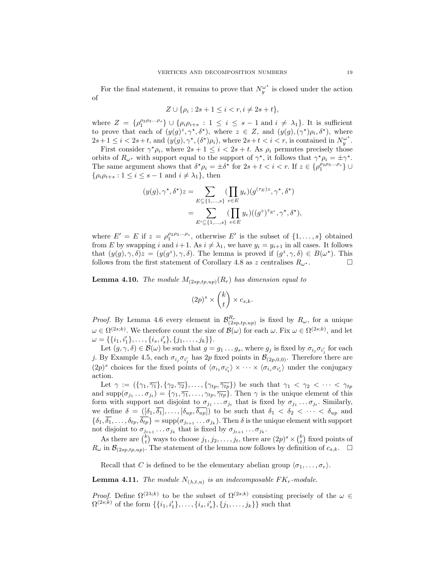For the final statement, it remains to prove that  $N_y^{\omega^*}$  is closed under the action of

$$
Z \cup \{ \rho_i : 2s + 1 \le i < r, i \neq 2s + t \},\
$$

where  $Z = \{\rho_1^{\rho_2 \rho_3...\rho_s}\}\cup \{\rho_i \rho_{i+s} : 1 \leq i \leq s-1 \text{ and } i \neq \lambda_1\}.$  It is sufficient to prove that each of  $(y(g)^z, \gamma^*, \delta^*)$ , where  $z \in Z$ , and  $(y(g), (\gamma^*)\rho_i, \delta^*)$ , where  $2s+1 \leq i < 2s+t$ , and  $(y(g), \gamma^*, (\delta^*)\rho_i)$ , where  $2s+t < i < r$ , is contained in  $N_y^{\omega^*}$ .

First consider  $\gamma^* \rho_i$ , where  $2s + 1 \leq i < 2s + t$ . As  $\rho_i$  permutes precisely those orbits of  $R_{\omega^*}$  with support equal to the support of  $\gamma^*$ , it follows that  $\gamma^* \rho_i = \pm \gamma^*$ . The same argument shows that  $\delta^* \rho_i = \pm \delta^*$  for  $2s + t < i < r$ . If  $z \in {\rho_1^{\rho_2 \rho_3 \ldots \rho_s}} \cup$  $\{\rho_i \rho_{i+s} : 1 \leq i \leq s-1 \text{ and } i \neq \lambda_1\},\$  then

$$
(y(g), \gamma^*, \delta^*)z = \sum_{E \subseteq \{1, \dots, s\}} (\prod_{e \in E} y_e) (g^{(\tau_E)z}, \gamma^*, \delta^*)
$$
  
= 
$$
\sum_{E' \subseteq \{1, \dots, s\}} (\prod_{e \in E} y_e) ((g^z)^{\tau_{E'}}, \gamma^*, \delta^*),
$$

where  $E' = E$  if  $z = \rho_1^{\rho_2 \rho_3 \dots \rho_s}$ , otherwise E' is the subset of  $\{1, \dots, s\}$  obtained from E by swapping i and  $i+1$ . As  $i \neq \lambda_1$ , we have  $y_i = y_{i+1}$  in all cases. It follows that  $(y(g), \gamma, \delta)z = (y(g^z), \gamma, \delta)$ . The lemma is proved if  $(g^z, \gamma, \delta) \in B(\omega^*)$ . This follows from the first statement of Corollary 4.8 as z centralises  $R_{\omega^*}$ .

**Lemma 4.10.** The module  $M_{(2sp,tp,up)}(R_r)$  has dimension equal to

$$
(2p)^s \times \binom{k}{t} \times c_{s,k}.
$$

*Proof.* By Lemma 4.6 every element in  $\mathcal{B}_{(2sp,tp,up)}^{R_r}$  is fixed by  $R_{\omega}$ , for a unique  $\omega \in \Omega^{(2s;k)}$ . We therefore count the size of  $\mathcal{B}(\omega)$  for each  $\omega$ . Fix  $\omega \in \Omega^{(2s;k)}$ , and let  $\omega = \{\{i_1, i'_1\}, \ldots, \{i_s, i'_s\}, \{j_1, \ldots, j_k\}\}.$ 

Let  $(g, \gamma, \delta) \in \mathcal{B}(\omega)$  be such that  $g = g_1 \dots g_s$ , where  $g_j$  is fixed by  $\sigma_{i_j} \sigma_{i'_j}$  for each j. By Example 4.5, each  $\sigma_{i_j}\sigma_{i'_j}$  has 2p fixed points in  $\mathcal{B}_{(2p,0,0)}$ . Therefore there are  $(2p)^s$  choices for the fixed points of  $\langle \sigma_{i_1} \sigma_{i'_1} \rangle \times \cdots \times \langle \sigma_{i_s} \sigma_{i'_s} \rangle$  under the conjugacy action.

Let  $\gamma := (\{\gamma_1, \overline{\gamma_1}\}, \{\gamma_2, \overline{\gamma_2}\}, \ldots, \{\gamma_{tp}, \overline{\gamma_{tp}}\})$  be such that  $\gamma_1 < \gamma_2 < \cdots < \gamma_{tp}$ and supp $(\sigma_{j_1} \dots \sigma_{j_t}) = \{\gamma_1, \overline{\gamma_1}, \dots, \gamma_{tp}, \overline{\gamma_{tp}}\}.$  Then  $\gamma$  is the unique element of this form with support not disjoint to  $\sigma_{j_1} \ldots \sigma_{j_t}$  that is fixed by  $\sigma_{j_1} \ldots \sigma_{j_t}$ . Similarly, we define  $\delta = ([\delta_1, \delta_1], \ldots, [\delta_{up}, \delta_{up}])$  to be such that  $\delta_1 < \delta_2 < \cdots < \delta_{up}$  and  $\{\delta_1,\overline{\delta_1},\ldots,\delta_{tp},\overline{\delta_{tp}}\} = \text{supp}(\sigma_{j_{t+1}}\ldots\sigma_{j_k}).$  Then  $\delta$  is the unique element with support not disjoint to  $\sigma_{j_{t+1}} \dots \sigma_{j_k}$  that is fixed by  $\sigma_{j_{t+1}} \dots \sigma_{j_k}$ .

As there are  $\binom{k}{t}$  ways to choose  $j_1, j_2, \ldots, j_t$ , there are  $(2p)^s \times \binom{k}{t}$  fixed points of  $R_{\omega}$  in  $\mathcal{B}_{(2sp,tp,up)}$ . The statement of the lemma now follows by definition of  $c_{s,k}$ .  $\square$ 

Recall that C is defined to be the elementary abelian group  $\langle \sigma_1, \ldots, \sigma_r \rangle$ .

**Lemma 4.11.** The module  $N_{(\lambda,t,u)}$  is an indecomposable  $FK_r$ -module.

*Proof.* Define  $\Omega^{(2\lambda;k)}$  to be the subset of  $\Omega^{(2s;k)}$  consisting precisely of the  $\omega \in$  $\Omega^{(2s;k)}$  of the form  $\{\{i_1, i'_1\}, \ldots, \{i_s, i'_s\}, \{j_1, \ldots, j_k\}\}\$  such that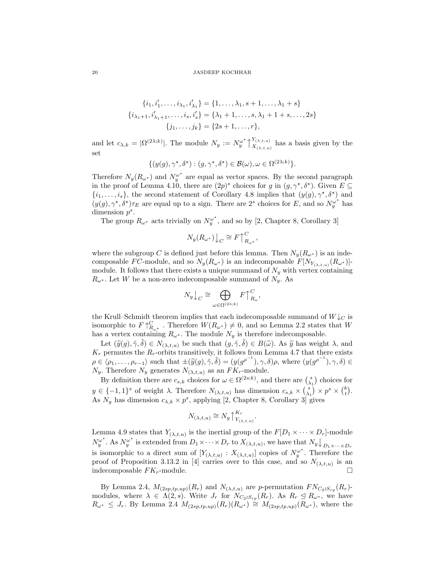$$
\{i_1, i'_1, \dots, i_{\lambda_1}, i'_{\lambda_1}\} = \{1, \dots, \lambda_1, s+1, \dots, \lambda_1 + s\}
$$
  

$$
\{i_{\lambda_1+1}, i'_{\lambda_1+1}, \dots, i_s, i'_s\} = \{\lambda_1 + 1, \dots, s, \lambda_1 + 1 + s, \dots, 2s\}
$$
  

$$
\{j_1, \dots, j_k\} = \{2s+1, \dots, r\},
$$

and let  $c_{\lambda,k} = |\Omega^{(2\lambda;k)}|$ . The module  $N_y := N_y^{\omega^*} \uparrow$  $Y_{(\lambda,t,u)}$  $X^{(\lambda,t,u)}_{(\lambda,t,u)}$  has a basis given by the set

$$
\{(y(g), \gamma^*, \delta^*) : (g, \gamma^*, \delta^*) \in \mathcal{B}(\omega), \omega \in \Omega^{(2\lambda; k)}\}.
$$

Therefore  $N_y(R_{\omega^*})$  and  $N_y^{\omega^*}$  are equal as vector spaces. By the second paragraph in the proof of Lemma 4.10, there are  $(2p)^s$  choices for g in  $(g, \gamma^*, \delta^*)$ . Given  $E \subseteq$  $\{i_1,\ldots,i_s\}$ , the second statement of Corollary 4.8 implies that  $(y(g), \gamma^*, \delta^*)$  and  $(y(g), \gamma^*, \delta^*)\tau_E$  are equal up to a sign. There are 2<sup>s</sup> choices for E, and so  $N_y^{\omega^*}$  has dimension  $p^s$ .

The group  $R_{\omega^*}$  acts trivially on  $N_y^{\omega^*}$ , and so by [2, Chapter 8, Corollary 3]

$$
N_y(R_{\omega^*})\big\downarrow_C \cong F\bigcap_{R_{\omega^*}}^C,
$$

where the subgroup C is defined just before this lemma. Then  $N_y(R_{\omega^*})$  is an indecomposable FC-module, and so  $N_y(R_{\omega^*})$  is an indecomposable  $F[N_{Y_{(\lambda,t,u)}}(R_{\omega^*})]$ module. It follows that there exists a unique summand of  $N_y$  with vertex containing  $R_{\omega^*}$ . Let W be a non-zero indecomposable summand of  $N_y$ . As

$$
N_y \big\downarrow_C \cong \bigoplus_{\omega \in \Omega^{(2\lambda;k)}} F \big\uparrow_{R_\omega}^C,
$$

the Krull–Schmidt theorem implies that each indecomposable summand of  $W\downarrow_C$  is isomorphic to  $F \uparrow_{R_{\omega^*}}^C$ . Therefore  $W(R_{\omega^*}) \neq 0$ , and so Lemma 2.2 states that W has a vertex containing  $R_{\omega^*}$ . The module  $N_y$  is therefore indecomposable.

Let  $(\widetilde{y}(g), \widetilde{\gamma}, \widetilde{\delta}) \in N_{(\lambda, t, u)}$  be such that  $(g, \widetilde{\gamma}, \widetilde{\delta}) \in B(\widetilde{\omega})$ . As  $\widetilde{y}$  has weight  $\lambda$ , and parmutes the  $R$  exists transitively it follows from Lemma 4.7 that there exists  $K_r$  permutes the  $R_r$ -orbits transitively, it follows from Lemma 4.7 that there exists  $\rho \in \langle \rho_1, \ldots, \rho_{r-1} \rangle$  such that  $\pm(\widetilde{y}(g), \widetilde{\gamma}, \widetilde{\delta}) = (y(g^{\rho^{-1}}), \gamma, \delta) \rho$ , where  $(y(g^{\rho^{-1}}), \gamma, \delta) \in N$ .<br>Therefore N generates N.  $N_y$ . Therefore  $N_y$  generates  $N_{(\lambda,t,u)}$  as an  $FK_r$ -module.

By definition there are  $c_{s,k}$  choices for  $\omega \in \Omega^{(2s;k)}$ , and there are  $\binom{s}{\lambda_1}$  choices for  $y \in \{-1,1\}^s$  of weight  $\lambda$ . Therefore  $N_{(\lambda,t,u)}$  has dimension  $c_{s,k} \times {s \choose \lambda_1} \times p^s \times {k \choose t}$ . As  $N_y$  has dimension  $c_{\lambda,k} \times p^s$ , applying [2, Chapter 8, Corollary 3] gives

$$
N_{(\lambda,t,u)} \cong N_y \big\uparrow_{Y_{(\lambda,t,u)}}^{K_r}
$$

.

Lemma 4.9 states that  $Y_{(\lambda,t,u)}$  is the inertial group of the  $F[D_1 \times \cdots \times D_r]$ -module  $N_y^{\omega^*}$ . As  $N_y^{\omega^*}$  is extended from  $D_1 \times \cdots \times D_r$  to  $X_{(\lambda,t,u)}$ , we have that  $N_y \bigcup_{D_1 \times \cdots \times D_r}$ is isomorphic to a direct sum of  $[Y_{(\lambda,t,u)}: X_{(\lambda,t,u)}]$  copies of  $N_y^{\omega^*}$ . Therefore the proof of Proposition 3.13.2 in [4] carries over to this case, and so  $N_{(\lambda,t,u)}$  is an indecomposable  $FK<sub>r</sub>$ -module.

By Lemma 2.4,  $M_{(2sp, tp, up)}(R_r)$  and  $N_{(\lambda, t, u)}$  are p-permutation  $FN_{C_2 \wr S_{rp}}(R_r)$ modules, where  $\lambda \in \Lambda(2,s)$ . Write  $J_r$  for  $N_{C_2 \wr S_{rp}}(R_r)$ . As  $R_r \leq R_{\omega^*}$ , we have  $R_{\omega^*} \leq J_r$ . By Lemma 2.4  $M_{(2sp, tp, up)}(R_r)(R_{\omega^*}) \cong M_{(2sp, tp, up)}(R_{\omega^*})$ , where the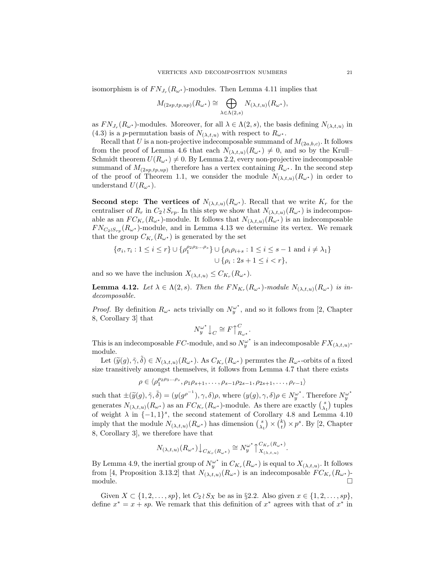isomorphism is of  $FN_{J_r}(R_{\omega^*})$ -modules. Then Lemma 4.11 implies that

$$
M_{(2sp,tp,up)}(R_{\omega^*}) \cong \bigoplus_{\lambda \in \Lambda(2,s)} N_{(\lambda,t,u)}(R_{\omega^*}),
$$

as  $FN_{J_r}(R_{\omega^*})$ -modules. Moreover, for all  $\lambda \in \Lambda(2, s)$ , the basis defining  $N_{(\lambda, t, u)}$  in (4.3) is a p-permutation basis of  $N_{(\lambda,t,u)}$  with respect to  $R_{\omega^*}$ .

Recall that U is a non-projective indecomposable summand of  $M_{(2a,b,c)}$ . It follows from the proof of Lemma 4.6 that each  $N_{(\lambda,t,u)}(R_{\omega^*}) \neq 0$ , and so by the Krull– Schmidt theorem  $U(R_{\omega^*}) \neq 0$ . By Lemma 2.2, every non-projective indecomposable summand of  $M_{(2sp,tp,up)}$  therefore has a vertex containing  $R_{\omega^*}$ . In the second step of the proof of Theorem 1.1, we consider the module  $N_{(\lambda,t,u)}(R_{\omega^*})$  in order to understand  $U(R_{\omega^*})$ .

**Second step:** The vertices of  $N_{(\lambda,t,u)}(R_{\omega^*})$ . Recall that we write  $K_r$  for the centraliser of  $R_r$  in  $C_2 \wr S_{rp}$ . In this step we show that  $N_{(\lambda,t,u)}(R_{\omega^*})$  is indecomposable as an  $FC_{K_r}(R_{\omega^*})$ -module. It follows that  $N_{(\lambda,t,u)}(R_{\omega^*})$  is an indecomposable  $FN_{C_2 \wr S_{rp}}(R_{\omega^*})$ -module, and in Lemma 4.13 we determine its vertex. We remark that the group  $C_{K_r}(R_{\omega^*})$  is generated by the set

$$
\{\sigma_i, \tau_i : 1 \le i \le r\} \cup \{\rho_1^{\rho_2 \rho_3 \dots \rho_s}\} \cup \{\rho_i \rho_{i+s} : 1 \le i \le s-1 \text{ and } i \neq \lambda_1\}
$$

$$
\cup \{\rho_i : 2s + 1 \le i < r\},\
$$

and so we have the inclusion  $X_{(\lambda,t,u)} \leq C_{K_r}(R_{\omega^*}).$ 

**Lemma 4.12.** Let  $\lambda \in \Lambda(2, s)$ . Then the  $FN_{K_r}(R_{\omega^*})$ -module  $N_{(\lambda, t, u)}(R_{\omega^*})$  is indecomposable.

*Proof.* By definition  $R_{\omega^*}$  acts trivially on  $N_y^{\omega^*}$ , and so it follows from [2, Chapter 8, Corollary 3] that

$$
N_y^{\omega^*} \big\downarrow_C \cong F \big\uparrow_{R_{\omega^*}}^C.
$$

This is an indecomposable FC-module, and so  $N_y^{\omega^*}$  is an indecomposable  $FX_{(\lambda,t,u)}$ module.

Let  $(\widetilde{y}(g), \widetilde{\gamma}, \widetilde{\delta}) \in N_{(\lambda, t, u)}(R_{\omega^*})$ . As  $C_{K_r}(R_{\omega^*})$  permutes the  $R_{\omega^*}$ -orbits of a fixed a transitivaly amongst thomselves it follows from Lamma 4.7 that there exists size transitively amongst themselves, it follows from Lemma 4.7 that there exists

$$
\rho \in \langle \rho_1^{\rho_2 \rho_3 \dots \rho_s}, \rho_1 \rho_{s+1}, \dots, \rho_{s-1} \rho_{2s-1}, \rho_{2s+1}, \dots, \rho_{r-1} \rangle
$$

such that  $\pm(\widetilde{y}(g), \widetilde{\gamma}, \widetilde{\delta}) = (y(g^{\rho^{-1}}), \gamma, \delta)\rho$ , where  $(y(g), \gamma, \delta)\rho \in N_g^{\omega^*}$ . Therefore  $N_g^{\omega^*}$ generates  $N_{(\lambda,t,u)}(R_{\omega^*})$  as an  $FC_{K_r}(R_{\omega^*})$ -module. As there are exactly  $\binom{s}{\lambda_1}$  tuples of weight  $\lambda$  in  $\{-1,1\}^s$ , the second statement of Corollary 4.8 and Lemma 4.10 imply that the module  $N_{(\lambda,t,u)}(R_{\omega^*})$  has dimension  $\binom{s}{\lambda_1} \times \binom{k}{t} \times p^s$ . By [2, Chapter 8, Corollary 3], we therefore have that

$$
N_{(\lambda,t,u)}(R_{\omega^{\star}})\big\downarrow_{C_{K_r}(R_{\omega^{\star}})} \cong N_y^{\omega^{\star}}\big\uparrow_{X_{(\lambda,t,u)}}^{C_{K_r}(R_{\omega^{\star}})}.
$$

By Lemma 4.9, the inertial group of  $N_y^{\omega^*}$  in  $C_{K_r}(R_{\omega^*})$  is equal to  $X_{(\lambda,t,u)}$ . It follows from [4, Proposition 3.13.2] that  $N_{(\lambda,t,u)}(R_{\omega^*})$  is an indecomposable  $FC_{K_r}(R_{\omega^*})$ - $\Box$ 

Given  $X \subset \{1, 2, \ldots, sp\}$ , let  $C_2 \wr S_X$  be as in §2.2. Also given  $x \in \{1, 2, \ldots, sp\}$ , define  $x^* = x + sp$ . We remark that this definition of  $x^*$  agrees with that of  $x^*$  in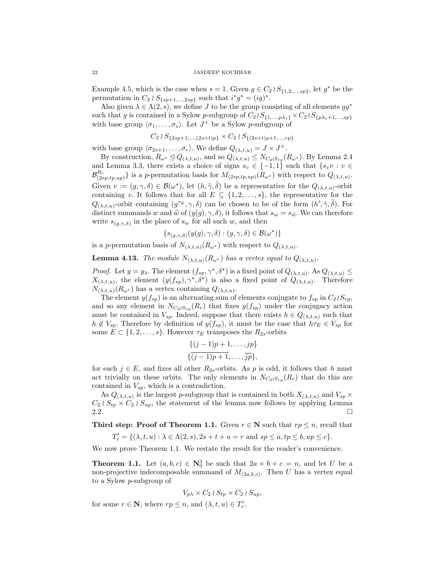Example 4.5, which is the case when  $s = 1$ . Given  $g \in C_2 \wr S_{\{1,2,\ldots,sp\}}$ , let  $g^*$  be the permutation in  $C_2 \wr S_{\{sp+1,\ldots,2sp\}}$  such that  $i^*g^* = (ig)^*$ .

Also given  $\lambda \in \Lambda(2, s)$ , we define J to be the group consisting of all elements  $gg^*$ such that g is contained in a Sylow p-subgroup of  $C_2 \wr S_{\{1,\ldots,p\lambda_1\}} \times C_2 \wr S_{\{p\lambda_1+1,\ldots,sp\}}$ with base group  $\langle \sigma_1, \ldots, \sigma_s \rangle$ . Let  $J^+$  be a Sylow p-subgroup of

$$
C_2 \wr S_{\{2sp+1,\ldots,(2s+t)p\}} \times C_2 \wr S_{\{(2s+t)p+1,\ldots,rp\}}
$$

with base group  $\langle \sigma_{2s+1}, \ldots, \sigma_r \rangle$ . We define  $Q_{(\lambda,t,u)} = J \times J^+$ .

By construction,  $R_{\omega^*} \trianglelefteq Q_{(\lambda,t,u)}$ , and so  $Q_{(\lambda,t,u)} \leq N_{C_2 \wr S_{rp}}(R_{\omega^*})$ . By Lemma 2.4 and Lemma 3.3, there exists a choice of signs  $s_v \in \{-1,1\}$  such that  $\{s_v v : v \in$  $\mathcal{B}_{(2sp,tp,up)}^{R_r}$  is a p-permutation basis for  $M_{(2sp,tp,up)}(R_{\omega^*})$  with respect to  $Q_{(\lambda,t,u)}$ . Given  $v := (g, \gamma, \delta) \in \mathcal{B}(\omega^*),$  let  $(h, \tilde{\gamma}, \tilde{\delta})$  be a representative for the  $Q_{(\lambda, t, u)}$ -orbit containing v. It follows that for all  $E \subseteq \{1, 2, \ldots, s\}$ , the representative for the  $Q_{(\lambda,t,u)}$ -orbit containing  $(g^{\tau_E}, \gamma, \delta)$  can be chosen to be of the form  $(h', \tilde{\gamma}, \tilde{\delta})$ . For distinct summands w and  $\tilde{w}$  of  $(y(g), \gamma, \delta)$ , it follows that  $s_w = s_{\tilde{w}}$ . We can therefore write  $s_{(g,\gamma,\delta)}$  in the place of  $s_w$  for all such w, and then

$$
\{s_{(g,\gamma,\delta)}(y(g),\gamma,\delta) : (g,\gamma,\delta) \in \mathcal{B}(\omega^\star)\}
$$

is a p-permutation basis of  $N_{(\lambda,t,u)}(R_{\omega^*})$  with respect to  $Q_{(\lambda,t,u)}$ .

**Lemma 4.13.** The module  $N_{(\lambda,t,u)}(R_{\omega^*})$  has a vertex equal to  $Q_{(\lambda,t,u)}$ .

*Proof.* Let  $y = y_\lambda$ . The element  $(f_{sp}, \gamma^*, \delta^*)$  is a fixed point of  $Q_{(\lambda, t, u)}$ . As  $Q_{(\lambda, t, u)} \le$  $X_{(\lambda,t,u)}$ , the element  $(y(f_{sp}), \gamma^*, \delta^*)$  is also a fixed point of  $Q_{(\lambda,t,u)}$ . Therefore  $N_{(\lambda,t,u)}(R_{\omega^*})$  has a vertex containing  $Q_{(\lambda,t,u)}$ .

The element  $y(f_{sp})$  is an alternating sum of elements conjugate to  $f_{sp}$  in  $C_2 \wr S_{rp}$ , and so any element in  $N_{C_2 \wr S_{rp}}(R_r)$  that fixes  $y(f_{sp})$  under the conjugacy action must be contained in  $V_{sp}$ . Indeed, suppose that there exists  $h \in Q_{(\lambda,t,u)}$  such that  $h \notin V_{sp}$ . Therefore by definition of  $y(f_{sp})$ , it must be the case that  $h\tau_E \in V_{sp}$  for some  $E \subset \{1, 2, \ldots, s\}$ . However  $\tau_E$  transposes the  $R_{2s}$ -orbits

$$
\{ (j-1)p+1, \ldots, jp \}
$$

$$
\{ \overline{(j-1)p+1}, \ldots, \overline{jp} \},\
$$

for each  $j \in E$ , and fixes all other  $R_{2s}$ -orbits. As p is odd, it follows that h must act trivially on these orbits. The only elements in  $N_{C_2 \wr S_{rp}}(R_r)$  that do this are contained in  $V_{sp}$ , which is a contradiction.

As  $Q_{(\lambda,t,u)}$  is the largest p-subgroup that is contained in both  $X_{(\lambda,t,u)}$  and  $V_{sp} \times$  $C_2 \wr S_{tp} \times C_2 \wr S_{up}$ , the statement of the lemma now follows by applying Lemma 2.2.  $\Box$ 

**Third step: Proof of Theorem 1.1.** Given  $r \in \mathbb{N}$  such that  $rp \leq n$ , recall that

$$
T'_r = \{ (\lambda, t, u) : \lambda \in \Lambda(2, s), 2s + t + u = r \text{ and } sp \le a, tp \le b, up \le c \}.
$$

We now prove Theorem 1.1. We restate the result for the reader's convenience.

**Theorem 1.1.** Let  $(a, b, c) \in \mathbb{N}_0^3$  be such that  $2a + b + c = n$ , and let U be a non-projective indecomposable summand of  $M_{(2a,b,c)}$ . Then U has a vertex equal to a Sylow p-subgroup of

$$
V_{p\lambda} \times C_2 \wr S_{tp} \times C_2 \wr S_{up},
$$

for some  $r \in \mathbb{N}$ , where  $rp \leq n$ , and  $(\lambda, t, u) \in T'_r$ .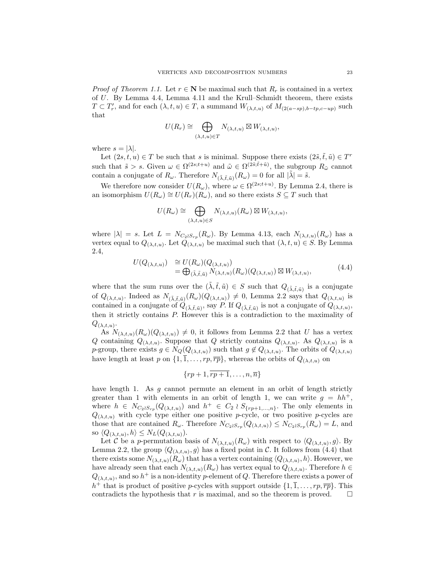*Proof of Theorem 1.1.* Let  $r \in \mathbb{N}$  be maximal such that  $R_r$  is contained in a vertex of U. By Lemma 4.4, Lemma 4.11 and the Krull–Schmidt theorem, there exists  $T \subset T'_r$ , and for each  $(\lambda, t, u) \in T$ , a summand  $W_{(\lambda, t, u)}$  of  $M_{(2(a - sp), b - tp, c - up)}$  such that

$$
U(R_r) \cong \bigoplus_{(\lambda,t,u) \in T} N_{(\lambda,t,u)} \boxtimes W_{(\lambda,t,u)},
$$

where  $s = |\lambda|$ .

Let  $(2s, t, u) \in T$  be such that s is minimal. Suppose there exists  $(2\tilde{s}, \tilde{t}, \tilde{u}) \in T^r$ such that  $\tilde{s} > s$ . Given  $\omega \in \Omega^{(2s;t+u)}$  and  $\tilde{\omega} \in \Omega^{(2\tilde{s};\tilde{t}+\tilde{u})}$ , the subgroup  $R_{\tilde{\omega}}$  cannot contain a conjugate of  $R_{\omega}$ . Therefore  $N_{(\tilde{\lambda}, \tilde{t}, \tilde{u})}(R_{\omega}) = 0$  for all  $|\tilde{\lambda}| = \tilde{s}$ .

We therefore now consider  $U(R_\omega)$ , where  $\omega \in \Omega^{(2s;t+u)}$ . By Lemma 2.4, there is an isomorphism  $U(R_\omega) \cong U(R_r)(R_\omega)$ , and so there exists  $S \subseteq T$  such that

$$
U(R_\omega) \cong \bigoplus_{(\lambda,t,u) \in S} N_{(\lambda,t,u)}(R_\omega) \boxtimes W_{(\lambda,t,u)},
$$

where  $|\lambda| = s$ . Let  $L = N_{C_2 \wr S_{rp}}(R_\omega)$ . By Lemma 4.13, each  $N_{(\lambda,t,u)}(R_\omega)$  has a vertex equal to  $Q_{(\lambda,t,u)}$ . Let  $Q_{(\lambda,t,u)}$  be maximal such that  $(\lambda,t,u) \in S$ . By Lemma 2.4,

$$
U(Q_{(\lambda,t,u)}) \cong U(R_{\omega})(Q_{(\lambda,t,u)})
$$
  
=  $\bigoplus_{(\tilde{\lambda},\tilde{t},\tilde{u})} N_{(\lambda,t,u)}(R_{\omega})(Q_{(\lambda,t,u)}) \boxtimes W_{(\lambda,t,u)},$  (4.4)

where that the sum runs over the  $(\tilde{\lambda}, \tilde{t}, \tilde{u}) \in S$  such that  $Q_{(\tilde{\lambda}, \tilde{t}, \tilde{u})}$  is a conjugate of  $Q_{(\lambda,t,u)}$ . Indeed as  $N_{(\tilde{\lambda},\tilde{t},\tilde{u})}(R_{\omega})(Q_{(\lambda,t,u)}) \neq 0$ , Lemma 2.2 says that  $Q_{(\lambda,t,u)}$  is contained in a conjugate of  $Q_{(\tilde{\lambda}, \tilde{t}, \tilde{u})}$ , say P. If  $Q_{(\tilde{\lambda}, \tilde{t}, \tilde{u})}$  is not a conjugate of  $Q_{(\lambda, t, u)}$ , then it strictly contains P. However this is a contradiction to the maximality of  $Q_{(\lambda,t,u)}$ .

As  $N_{(\lambda,t,u)}(R_{\omega})(Q_{(\lambda,t,u)}) \neq 0$ , it follows from Lemma 2.2 that U has a vertex Q containing  $Q_{(\lambda,t,u)}$ . Suppose that Q strictly contains  $Q_{(\lambda,t,u)}$ . As  $Q_{(\lambda,t,u)}$  is a p-group, there exists  $g \in N_Q(Q_{(\lambda,t,u)})$  such that  $g \notin Q_{(\lambda,t,u)}$ . The orbits of  $Q_{(\lambda,t,u)}$ have length at least p on  $\{1, \overline{1}, \ldots, rp, \overline{rp}\}\,$ , whereas the orbits of  $Q_{(\lambda, t, u)}$  on

$$
\{rp+1,\overline{rp+1},\ldots,n,\overline{n}\}
$$

have length 1. As g cannot permute an element in an orbit of length strictly greater than 1 with elements in an orbit of length 1, we can write  $g = hh^+,$ where  $h \in N_{C_2 \wr S_{rp}}(Q_{(\lambda,t,u)})$  and  $h^+ \in C_2 \wr S_{\{rp+1,...,n\}}$ . The only elements in  $Q_{(\lambda,t,u)}$  with cycle type either one positive p-cycle, or two positive p-cycles are those that are contained  $R_{\omega}$ . Therefore  $N_{C_2 \wr S_{rp}}(Q_{(\lambda,t,u)}) \leq N_{C_2 \wr S_{rp}}(R_{\omega}) = L$ , and so  $\langle Q_{(\lambda,t,u)}, h \rangle \leq N_L(Q_{(\lambda,t,u)}).$ 

Let C be a p-permutation basis of  $N_{(\lambda,t,u)}(R_\omega)$  with respect to  $\langle Q_{(\lambda,t,u)}, g \rangle$ . By Lemma 2.2, the group  $\langle Q_{(\lambda,t,u)}, g \rangle$  has a fixed point in C. It follows from (4.4) that there exists some  $N_{(\lambda,t,u)}(R_\omega)$  that has a vertex containing  $\langle Q_{(\lambda,t,u)}, h \rangle$ . However, we have already seen that each  $N_{(\lambda,t,u)}(R_\omega)$  has vertex equal to  $Q_{(\lambda,t,u)}$ . Therefore  $h \in$  $Q_{(\lambda,t,u)}$ , and so  $h^+$  is a non-identity p-element of Q. Therefore there exists a power of  $h^+$  that is product of positive p-cycles with support outside  $\{1, \overline{1}, \ldots, rp, \overline{rp}\}\.$  This contradicts the hypothesis that r is maximal, and so the theorem is proved.  $\square$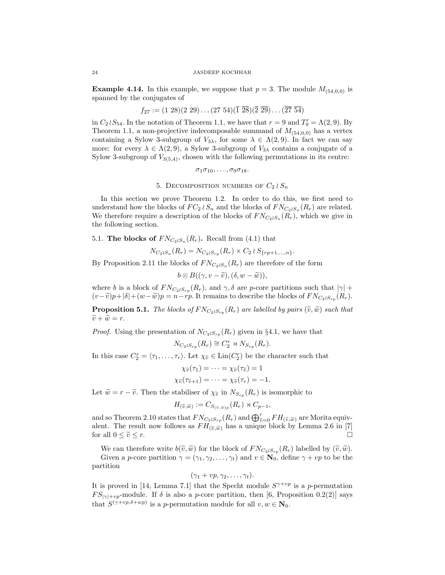**Example 4.14.** In this example, we suppose that  $p = 3$ . The module  $M_{(54,0,0)}$  is spanned by the conjugates of

$$
f_{27} := (1\ 28)(2\ 29) \dots (27\ 54)(\overline{1}\ \overline{28})(\overline{2}\ \overline{29}) \dots (\overline{27}\ \overline{54})
$$

in  $C_2 \wr S_{54}$ . In the notation of Theorem 1.1, we have that  $r = 9$  and  $T'_9 = \Lambda(2, 9)$ . By Theorem 1.1, a non-projective indecomposable summand of  $M_{(54,0,0)}$  has a vertex containing a Sylow 3-subgroup of  $V_{3\lambda}$ , for some  $\lambda \in \Lambda(2,9)$ . In fact we can say more: for every  $\lambda \in \Lambda(2, 9)$ , a Sylow 3-subgroup of  $V_{3\lambda}$  contains a conjugate of a Sylow 3-subgroup of  $V_{3(5,4)}$ , chosen with the following permutations in its centre:

$$
\sigma_1\sigma_{10},\ldots,\sigma_9\sigma_{18}.
$$

5. DECOMPOSITION NUMBERS OF  $C_2 \wr S_n$ 

In this section we prove Theorem 1.2. In order to do this, we first need to understand how the blocks of  $FC_2 \wr S_n$  and the blocks of  $FN_{C_2 \wr S_n}(R_r)$  are related. We therefore require a description of the blocks of  $FN_{C_2 \wr S_n}(R_r)$ , which we give in the following section.

## 5.1. The blocks of  $FN_{C_2 \wr S_n}(R_r)$ . Recall from (4.1) that

 $N_{C_2 \wr S_n}(R_r) = N_{C_2 \wr S_{rp}}(R_r) \times C_2 \wr S_{\{rp+1,...,n\}}.$ 

By Proposition 2.11 the blocks of  $FN_{C_2 \wr S_n}(R_r)$  are therefore of the form

$$
b\otimes B((\gamma, v-\widetilde{v}), (\delta, w-\widetilde{w})),
$$

where b is a block of  $FN_{C_2 \wr S_{rp}}(R_r)$ , and  $\gamma, \delta$  are p-core partitions such that  $|\gamma|$  +  $(v-\tilde{v})p+|\delta|+(w-\tilde{w})p=n-rp$ . It remains to describe the blocks of  $FN_{C_2 \wr S_{rp}}(R_r)$ .

**Proposition 5.1.** The blocks of  $FN_{C_2 \wr S_{rp}}(R_r)$  are labelled by pairs  $(\widetilde{v}, \widetilde{w})$  such that  $\widetilde{w} = \widetilde{w}$  $\widetilde{v} + \widetilde{w} = r.$ 

*Proof.* Using the presentation of  $N_{C_2 \wr S_{rp}}(R_r)$  given in §4.1, we have that

$$
N_{C_2 \wr S_{rp}}(R_r) \cong C_2^r \rtimes N_{S_{rp}}(R_r).
$$

In this case  $C_2^r = \langle \tau_1, \ldots, \tau_r \rangle$ . Let  $\chi_{\tilde{v}} \in \text{Lin}(C_2^r)$  be the character such that

$$
\chi_{\widetilde{v}}(\tau_1) = \cdots = \chi_{\widetilde{v}}(\tau_{\widetilde{v}}) = 1
$$
  

$$
\chi_{\widetilde{v}}(\tau_{\widetilde{v}+1}) = \cdots = \chi_{\widetilde{v}}(\tau_r) = -1.
$$

Let  $\widetilde{w} = r - \widetilde{v}$ . Then the stabiliser of  $\chi_{\widetilde{v}}$  in  $N_{S_{rp}}(R_r)$  is isomorphic to

$$
H_{(\widetilde{v},\widetilde{w})} := C_{S_{(\widetilde{v},\widetilde{w})p}}(R_r) \rtimes C_{p-1},
$$

and so Theorem 2.10 states that  $FN_{C_2 \wr S_{rp}}(R_r)$  and  $\bigoplus_{v=0}^{r} FH_{(\tilde{v}, \tilde{w})}$  are Morita equiv-<br>alont. The result now follows as  $FH_{C_2 \wr S_1}$  has a unique block by Lamma 2.6 in [7] alent. The result now follows as  $FH_{(\tilde{v}, \tilde{w})}$  has a unique block by Lemma 2.6 in [7] for all  $0 \le \tilde{v} \le r$ . for all  $0 \leq \tilde{v} \leq r$ .

We can therefore write  $b(\tilde{v}, \tilde{w})$  for the block of  $F N_{C_2 \wr S_{rp}}(R_r)$  labelled by  $(\tilde{v}, \tilde{w})$ .<br>Civen a g exploration  $\alpha = (\alpha, \alpha_0, \alpha_0)$  and  $v \in \mathbb{N}$ , define  $\alpha + v$  to be the

Given a p-core partition  $\gamma = (\gamma_1, \gamma_2, \dots, \gamma_t)$  and  $v \in \mathbb{N}_0$ , define  $\gamma + vp$  to be the partition

$$
(\gamma_1+vp,\gamma_2,\ldots,\gamma_t).
$$

It is proved in [14, Lemma 7.1] that the Specht module  $S^{\gamma+vp}$  is a p-permutation  $FS_{|\gamma|+vp}$ -module. If  $\delta$  is also a p-core partition, then [6, Proposition 0.2(2)] says that  $S^{(\gamma+vp,\delta+wp)}$  is a p-permutation module for all  $v, w \in \mathbb{N}_0$ .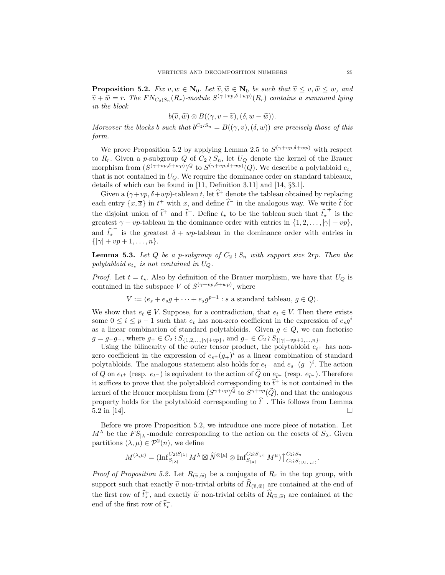**Proposition 5.2.** Fix  $v, w \in \mathbb{N}_0$ . Let  $\widetilde{v}, \widetilde{w} \in \mathbb{N}_0$  be such that  $\widetilde{v} \leq v, \widetilde{w} \leq w$ , and  $\widetilde{v} + \widetilde{w} = r$ . The  $FN_{C_2 \wr S_n}(R_r)$ -module  $S^{(\gamma+vp,\delta+wp)}(R_r)$  contains a summand lying in the block

$$
b(\widetilde{v},\widetilde{w})\otimes B((\gamma,v-\widetilde{v}),(\delta,w-\widetilde{w})).
$$

Moreover the blocks b such that  $b^{C_2 \wr S_n} = B((\gamma, v), (\delta, w))$  are precisely those of this form.

We prove Proposition 5.2 by applying Lemma 2.5 to  $S^{(\gamma+vp,\delta+wp)}$  with respect to  $R_r$ . Given a p-subgroup Q of  $C_2 \wr S_n$ , let  $U_Q$  denote the kernel of the Brauer morphism from  $(S^{(\gamma+vp,\delta+wp)})^Q$  to  $S^{(\gamma+vp,\delta+wp)}(Q)$ . We describe a polytabloid  $e_{t_*}$ that is not contained in  $U_Q$ . We require the dominance order on standard tableaux, details of which can be found in [11, Definition 3.11] and [14, §3.1].

Given a  $(\gamma + vp, \delta + wp)$ -tableau t, let  $\hat{t}^+$  denote the tableau obtained by replacing each entry  $\{x,\overline{x}\}$  in  $t^+$  with  $x$ , and define  $\hat{t}^-$  in the analogous way. We write  $\hat{t}$  for the disjoint union of  $\hat{t}^+$  and  $\hat{t}^-$ . Define  $t_{\star}$  to be the tableau such that  $\hat{t}_{\star}^+$  is the greatest  $\gamma + vp$ -tableau in the dominance order with entries in  $\{1, 2, \ldots, |\gamma| + vp\}$ , and  $\hat{t}_{\text{t}}$ <sup>-</sup> is the greatest  $\delta + wp$ -tableau in the dominance order with entries in  $\{|\gamma| + vp + 1, \ldots, n\}.$ 

**Lemma 5.3.** Let Q be a p-subgroup of  $C_2 \wr S_n$  with support size  $2rp$ . Then the polytabloid  $e_{t_{\star}}$  is not contained in  $U_Q$ .

*Proof.* Let  $t = t_{\star}$ . Also by definition of the Brauer morphism, we have that  $U_Q$  is contained in the subspace V of  $S^{(\gamma+vp,\delta+wp)}$ , where

$$
V := \langle e_s + e_s g + \dots + e_s g^{p-1} : s \text{ a standard tableau, } g \in Q \rangle.
$$

We show that  $e_t \notin V$ . Suppose, for a contradiction, that  $e_t \in V$ . Then there exists some  $0 \leq i \leq p-1$  such that  $e_t$  has non-zero coefficient in the expression of  $e_s g^i$ as a linear combination of standard polytabloids. Given  $g \in Q$ , we can factorise  $g = g_+g_-,$  where  $g_+ \in C_2 \wr S_{\{1,2,\ldots,|\gamma|+vp\}},$  and  $g_- \in C_2 \wr S_{\{|\gamma|+vp+1,\ldots,n\}}.$ 

Using the bilinearity of the outer tensor product, the polytabloid  $e_{t+}$  has nonzero coefficient in the expression of  $e_{s+} (g_+)^i$  as a linear combination of standard polytabloids. The analogous statement also holds for  $e_{t-}$  and  $e_{s-}(g_{-})^i$ . The action of Q on  $e_{t+}$  (resp.  $e_{t-}$ ) is equivalent to the action of  $\widehat{Q}$  on  $e_{\widehat{t}+}$  (resp.  $e_{\widehat{t}-}$ ). Therefore it suffices to prove that the polytabloid corresponding to  $\hat{t}^+$  is not contained in the kernel of the Brauer morphism from  $(S^{\gamma+vp})^Q$  to  $S^{\gamma+vp}(\widehat{Q})$ , and that the analogous property holds for the polytabloid corresponding to  $\hat{t}^-$ . This follows from Lemma  $5.2 \text{ in } [14]$ .

Before we prove Proposition 5.2, we introduce one more piece of notation. Let  $M^{\lambda}$  be the  $FS_{\vert\lambda\vert}$ -module corresponding to the action on the cosets of  $S_{\lambda}$ . Given partitions  $(\lambda, \mu) \in \mathcal{P}^2(n)$ , we define

$$
M^{(\lambda,\mu)}=(\operatorname{Inf}^{C_2\wr S_{|\lambda|}}_{S_{|\lambda|}}M^\lambda\boxtimes \widetilde{N}^{\otimes |\mu|}\otimes \operatorname{Inf}^{C_2\wr S_{|\mu|}}_{S_{|\mu|}}M^\mu)\big\uparrow^{C_2\wr S_n}_{C_2\wr S_{(|\lambda|,|\mu|)}}.
$$

*Proof of Proposition 5.2.* Let  $R_{(\tilde{v}, \tilde{w})}$  be a conjugate of  $R_r$  in the top group, with support such that exactly  $\tilde{v}$  non-trivial orbits of  $R_{(\tilde{v}, \tilde{w})}$  are contained at the end of the first row of  $\hat{t}^+_{\star}$ , and exactly  $\tilde{w}$  non-trivial orbits of  $\hat{R}_{(\tilde{v}, \tilde{w})}$  are contained at the end of the first row of  $\hat{t}_{\star}^-$ .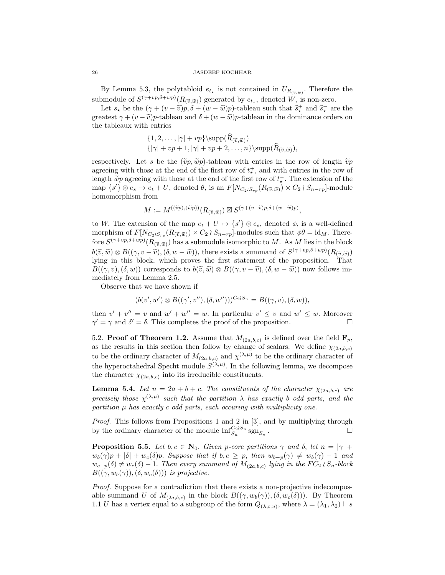By Lemma 5.3, the polytabloid  $e_{t_{\star}}$  is not contained in  $U_{R(\tilde{v}, \tilde{w})}$ . Therefore the submodule of  $S^{(\gamma+vp,\delta+wp)}(R_{(\tilde{v},\tilde{w})})$  generated by  $e_{t_{\star}}$ , denoted W, is non-zero.

Let  $s_{\star}$  be the  $(\gamma + (v - \tilde{v})p, \delta + (w - \tilde{w})p)$ -tableau such that  $\hat{s}_{\star}^{+}$  and  $\hat{s}_{\star}^{-}$  are the greatest  $\gamma + (v - \tilde{v})p$ -tableau and  $\delta + (w - \tilde{w})p$ -tableau in the dominance orders on the tableaux with entries

$$
\{1, 2, \ldots, |\gamma| + vp\} \sup(R(\tilde{v}, \tilde{w}))
$$
  

$$
\{|\gamma| + vp + 1, |\gamma| + vp + 2, \ldots, n\} \supp(\widehat{R}(\tilde{v}, \tilde{w})),
$$

respectively. Let s be the  $(\tilde{v}p, \tilde{w}p)$ -tableau with entries in the row of length  $\tilde{v}p$ agreeing with those at the end of the first row of  $t^+_{\star}$ , and with entries in the row of length  $\widetilde{w}p$  agreeing with those at the end of the first row of  $t_{\kappa}^-$ . The extension of the map  $\{s'\}\otimes e_s \mapsto e_t + U$ , denoted  $\theta$ , is an  $F[N_{C_2 \wr S_{rp}}(R_{(\widetilde{v}, \widetilde{w})}) \times C_2 \wr S_{n-rp}]$ -module homomorphism from

$$
M := M^{((\widetilde{v}p),(\widetilde{w}p))}(R_{(\widetilde{v},\widetilde{w})}) \boxtimes S^{(\gamma + (v - \widetilde{v})p,\delta + (w - \widetilde{w})p)},
$$

to W. The extension of the map  $e_t + U \mapsto \{s'\} \otimes e_s$ , denoted  $\phi$ , is a well-defined morphism of  $F[N_{C_2 \wr S_{rp}}(R_{(\tilde{v}, \tilde{w})}) \times C_2 \wr S_{n-rp}]$ -modules such that  $\phi \theta = \text{id}_M$ . Therefore  $S^{(\gamma+vp,\delta+wp)}(R_{(\widetilde{v},\widetilde{w})})$  has a submodule isomorphic to M. As M lies in the block  $b(\tilde{v}, \tilde{w}) \otimes B((\gamma, v - \tilde{v}), (\delta, w - \tilde{w}))$ , there exists a summand of  $S^{(\gamma + v p, \delta + w p)}(R_{(\tilde{v}, \tilde{w})})$ lying in this block, which proves the first statement of the proposition. That  $B((\gamma, v),(\delta, w))$  corresponds to  $b(\tilde{v}, \tilde{w}) \otimes B((\gamma, v - \tilde{v}), (\delta, w - \tilde{w}))$  now follows immediately from Lemma 2.5.

Observe that we have shown if

$$
(b(v', w') \otimes B((\gamma', v''), (\delta, w'')))^{C_2 \wr S_n} = B((\gamma, v), (\delta, w)),
$$

then  $v' + v'' = v$  and  $w' + w'' = w$ . In particular  $v' \leq v$  and  $w' \leq w$ . Moreover  $\gamma' = \gamma$  and  $\delta' = \delta$ . This completes the proof of the proposition.

5.2. Proof of Theorem 1.2. Assume that  $M_{(2a,b,c)}$  is defined over the field  $\mathbf{F}_p$ , as the results in this section then follow by change of scalars. We define  $\chi_{(2a,b,c)}$ to be the ordinary character of  $M_{(2a,b,c)}$  and  $\chi^{(\lambda,\mu)}$  to be the ordinary character of the hyperoctahedral Specht module  $S^{(\lambda,\mu)}$ . In the following lemma, we decompose the character  $\chi_{(2a,b,c)}$  into its irreducible constituents.

**Lemma 5.4.** Let  $n = 2a + b + c$ . The constituents of the character  $\chi_{(2a,b,c)}$  are precisely those  $\chi^{(\lambda,\mu)}$  such that the partition  $\lambda$  has exactly b odd parts, and the partition  $\mu$  has exactly c odd parts, each occuring with multiplicity one.

Proof. This follows from Propositions 1 and 2 in [3], and by multiplying through by the ordinary character of the module  $\mathbf{Inf}_{S_n}^{C_2 \wr S_n}{\rm sgn}_{S_n}$ . — Процессиональные производствование и производствование и производствование и производствование и производс<br>В 1990 году в 1990 году в 1990 году в 1990 году в 1990 году в 1990 году в 1990 году в 1990 году в 1990 году в<br>

**Proposition 5.5.** Let  $b, c \in \mathbb{N}_0$ . Given p-core partitions  $\gamma$  and  $\delta$ , let  $n = |\gamma| +$  $w_b(\gamma)p + |\delta| + w_c(\delta)p$ . Suppose that if  $b, c \geq p$ , then  $w_{b-p}(\gamma) \neq w_b(\gamma) - 1$  and  $w_{c-p}(\delta) \neq w_c(\delta) - 1$ . Then every summand of  $M_{(2a,b,c)}$  lying in the  $FC_2 \wr S_n$ -block  $B((\gamma, w_b(\gamma)),(\delta, w_c(\delta)))$  is projective.

Proof. Suppose for a contradiction that there exists a non-projective indecomposable summand U of  $M_{(2a,b,c)}$  in the block  $B((\gamma,w_b(\gamma)),(\delta,w_c(\delta)))$ . By Theorem 1.1 U has a vertex equal to a subgroup of the form  $Q_{(\lambda,t,u)}$ , where  $\lambda = (\lambda_1, \lambda_2) \vdash s$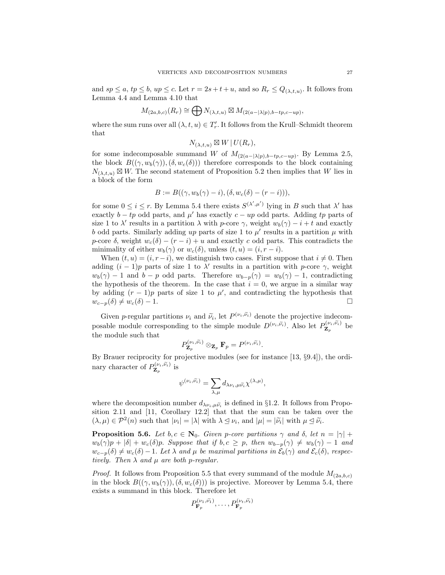and  $sp \le a$ ,  $tp \le b$ ,  $up \le c$ . Let  $r = 2s + t + u$ , and so  $R_r \le Q_{(\lambda,t,u)}$ . It follows from Lemma 4.4 and Lemma 4.10 that

$$
M_{(2a,b,c)}(R_r) \cong \bigoplus N_{(\lambda,t,u)} \boxtimes M_{(2(a-|\lambda|p),b-tp,c-up)},
$$

where the sum runs over all  $(\lambda, t, u) \in T'_r$ . It follows from the Krull–Schmidt theorem that

$$
N_{(\lambda,t,u)} \boxtimes W \,|\, U(R_r),
$$

for some indecomposable summand W of  $M_{(2(a-|\lambda|p),b-tp,c-up)}$ . By Lemma 2.5, the block  $B((\gamma, w_b(\gamma)),(\delta, w_c(\delta)))$  therefore corresponds to the block containing  $N_{(\lambda,t,u)} \boxtimes W$ . The second statement of Proposition 5.2 then implies that W lies in a block of the form

$$
B := B((\gamma, w_b(\gamma) - i), (\delta, w_c(\delta) - (r - i))),
$$

for some  $0 \le i \le r$ . By Lemma 5.4 there exists  $S^{(\lambda',\mu')}$  lying in B such that  $\lambda'$  has exactly  $b - tp$  odd parts, and  $\mu'$  has exactly  $c - up$  odd parts. Adding tp parts of size 1 to  $\lambda'$  results in a partition  $\lambda$  with p-core  $\gamma$ , weight  $w_b(\gamma) - i + t$  and exactly b odd parts. Similarly adding up parts of size 1 to  $\mu'$  results in a partition  $\mu$  with p-core  $\delta$ , weight  $w_c(\delta) - (r - i) + u$  and exactly c odd parts. This contradicts the minimality of either  $w_b(\gamma)$  or  $w_c(\delta)$ , unless  $(t, u) = (i, r - i)$ .

When  $(t, u) = (i, r - i)$ , we distinguish two cases. First suppose that  $i \neq 0$ . Then adding  $(i-1)p$  parts of size 1 to  $\lambda'$  results in a partition with p-core  $\gamma$ , weight  $w_b(\gamma) - 1$  and  $b - p$  odd parts. Therefore  $w_{b-p}(\gamma) = w_b(\gamma) - 1$ , contradicting the hypothesis of the theorem. In the case that  $i = 0$ , we argue in a similar way by adding  $(r-1)p$  parts of size 1 to  $\mu'$ , and contradicting the hypothesis that  $w_{c-p}(\delta) \neq w_c(\delta) - 1.$ 

Given p-regular partitions  $\nu_i$  and  $\tilde{\nu}_i$ , let  $P^{(\nu_i,\tilde{\nu}_i)}$  denote the projective indecom-<br>sately are dely convergently n to the simple models  $D^{(\nu_i,\tilde{\nu}_i)}$ . Also let  $D^{(\nu_i,\tilde{\nu}_i)}$  he posable module corresponding to the simple module  $D^{(\nu_i,\widetilde{\nu_i})}$ . Also let  $P_{\mathbf{Z}_p}^{(\nu_i,\widetilde{\nu_i})}$  be the module such that

$$
P^{(\nu_i,\widetilde{\nu_i})}_{\mathbf{Z}_p}\otimes_{\mathbf{Z}_p} \mathbf{F}_p=P^{(\nu_i,\widetilde{\nu_i})}.
$$

By Brauer reciprocity for projective modules (see for instance [13, §9.4]), the ordinary character of  $P_{\mathbf{Z}_p}^{(\nu_i,\widetilde{\nu_i})}$  is

$$
\psi^{(\nu_i,\widetilde{\nu_i})}=\sum_{\lambda,\mu}d_{\lambda\nu_i,\mu\widetilde{\nu}_i}\chi^{(\lambda,\mu)},
$$

where the decomposition number  $d_{\lambda \nu_i, \mu \tilde{\nu}_i}$  is defined in §1.2. It follows from Propo-<br>ition 0.11 and [11] Candlews 19.2] that the take the sum can be taken was the sition 2.11 and [11, Corollary 12.2] that that the sum can be taken over the  $(\lambda, \mu) \in \mathcal{P}^2(n)$  such that  $|\nu_i| = |\lambda|$  with  $\lambda \leq \nu_i$ , and  $|\mu| = |\widetilde{\nu}_i|$  with  $\mu \leq \widetilde{\nu}_i$ .

**Proposition 5.6.** Let  $b, c \in \mathbb{N}_0$ . Given p-core partitions  $\gamma$  and  $\delta$ , let  $n = |\gamma| +$  $w_b(\gamma)p + |\delta| + w_c(\delta)p$ . Suppose that if  $b, c \geq p$ , then  $w_{b-p}(\gamma) \neq w_b(\gamma) - 1$  and  $w_{c-p}(\delta) \neq w_c(\delta) - 1$ . Let  $\lambda$  and  $\mu$  be maximal partitions in  $\mathcal{E}_b(\gamma)$  and  $\mathcal{E}_c(\delta)$ , respectively. Then  $\lambda$  and  $\mu$  are both p-regular.

*Proof.* It follows from Proposition 5.5 that every summand of the module  $M_{(2a,b,c)}$ in the block  $B((\gamma, w_b(\gamma)),(\delta, w_c(\delta)))$  is projective. Moreover by Lemma 5.4, there exists a summand in this block. Therefore let

$$
P_{\mathbf{F}_p}^{(\nu_1,\widetilde{\nu_1})},\ldots,P_{\mathbf{F}_p}^{(\nu_t,\widetilde{\nu_t})}
$$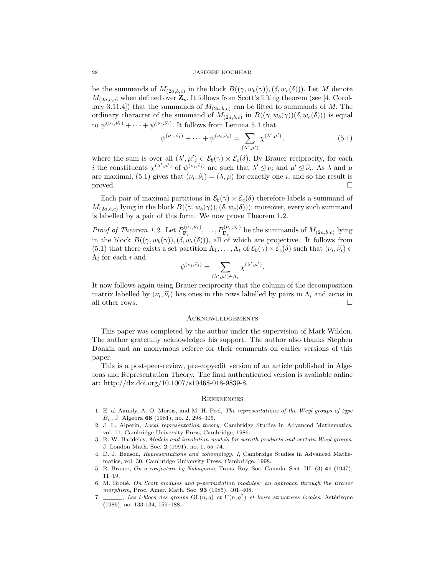be the summands of  $M_{(2a,b,c)}$  in the block  $B((\gamma,w_b(\gamma)),(\delta,w_c(\delta)))$ . Let M denote  $M_{(2a,b,c)}$  when defined over  $\mathbf{Z}_p$ . It follows from Scott's lifting theorem (see [4, Corollary 3.11.4]) that the summands of  $M_{(2a,b,c)}$  can be lifted to summands of M. The ordinary character of the summand of  $M_{(2a,b,c)}$  in  $B((\gamma,w_b(\gamma))(\delta,w_c(\delta)))$  is equal to  $\psi^{(\nu_1,\tilde{\nu_1})} + \cdots + \psi^{(\nu_t,\tilde{\nu_t})}$ . It follows from Lemma 5.4 that

$$
\psi^{(\nu_1,\widetilde{\nu_1})} + \cdots + \psi^{(\nu_t,\widetilde{\nu_t})} = \sum_{(\lambda',\mu')} \chi^{(\lambda',\mu')},\tag{5.1}
$$

where the sum is over all  $(\lambda', \mu') \in \mathcal{E}_b(\gamma) \times \mathcal{E}_c(\delta)$ . By Brauer reciprocity, for each *i* the constituents  $\chi^{(\lambda',\mu')}$  of  $\psi^{(\nu_i,\tilde{\nu_i})}$  are such that  $\lambda' \leq \nu_i$  and  $\mu' \leq \tilde{\nu_i}$ . As  $\lambda$  and  $\mu$ are maximal, (5.1) gives that  $(\nu_i, \tilde{\nu}_i) = (\lambda, \mu)$  for exactly one *i*, and so the result is proved.  $\square$ 

Each pair of maximal partitions in  $\mathcal{E}_b(\gamma) \times \mathcal{E}_c(\delta)$  therefore labels a summand of  $M_{(2a,b,c)}$  lying in the block  $B((\gamma,w_b(\gamma)),(\delta,w_c(\delta)))$ ; moreover, every such summand is labelled by a pair of this form. We now prove Theorem 1.2.

*Proof of Theorem 1.2.* Let  $P_{\mathbf{F}_p}^{(\nu_1,\tilde{\nu_1})}, \ldots, P_{\mathbf{F}_p}^{(\nu_c,\tilde{\nu_c})}$  be the summands of  $M_{(2a,b,c)}$  lying in the block  $B((\gamma, w_b(\gamma)),(\delta, w_c(\delta)))$ , all of which are projective. It follows from (5.1) that there exists a set partition  $\Lambda_1, \ldots, \Lambda_t$  of  $\mathcal{E}_b(\gamma) \times \mathcal{E}_c(\delta)$  such that  $(\nu_i, \tilde{\nu}_i) \in \Lambda$ , for each i and  $\Lambda_i$  for each i and

$$
\psi^{(\nu_i,\widetilde{\nu_i})} = \sum_{(\lambda',\mu') \in \Lambda_i} \chi^{(\lambda',\mu')}.
$$

It now follows again using Brauer reciprocity that the column of the decomposition matrix labelled by  $(\nu_i, \tilde{\nu}_i)$  has ones in the rows labelled by pairs in  $\Lambda_i$  and zeros in  $\Omega$ all other rows.  $\hfill\Box$ 

## Acknowledgements

This paper was completed by the author under the supervision of Mark Wildon. The author gratefully acknowledges his support. The author also thanks Stephen Donkin and an anonymous referee for their comments on earlier versions of this paper.

This is a post-peer-review, pre-copyedit version of an article published in Algebras and Representation Theory. The final authenticated version is available online at: http://dx.doi.org/10.1007/s10468-018-9839-8.

### **REFERENCES**

- 1. E. al Aamily, A. O. Morris, and M. H. Peel, The representations of the Weyl groups of type  $B_n$ , J. Algebra 68 (1981), no. 2, 298–305.
- 2. J. L. Alperin, Local representation theory, Cambridge Studies in Advanced Mathematics, vol. 11, Cambridge University Press, Cambridge, 1986.
- 3. R. W. Baddeley, Models and involution models for wreath products and certain Weyl groups, J. London Math. Soc. 2 (1991), no. 1, 55–74.
- 4. D. J. Benson, Representations and cohomology. I, Cambridge Studies in Advanced Mathematics, vol. 30, Cambridge University Press, Cambridge, 1998.
- 5. R. Brauer, On a conjecture by Nakayama, Trans. Roy. Soc. Canada. Sect. III. (3) 41 (1947), 11–19.
- 6. M. Broué, On Scott modules and p-permutation modules: an approach through the Brauer morphism, Proc. Amer. Math. Soc. 93 (1985), 401–408.
- 7.  $\Box$ , Les l-blocs des groups  $GL(n,q)$  et  $U(n,q^2)$  et leurs structures locales, Astérisque (1986), no. 133-134, 159–188.